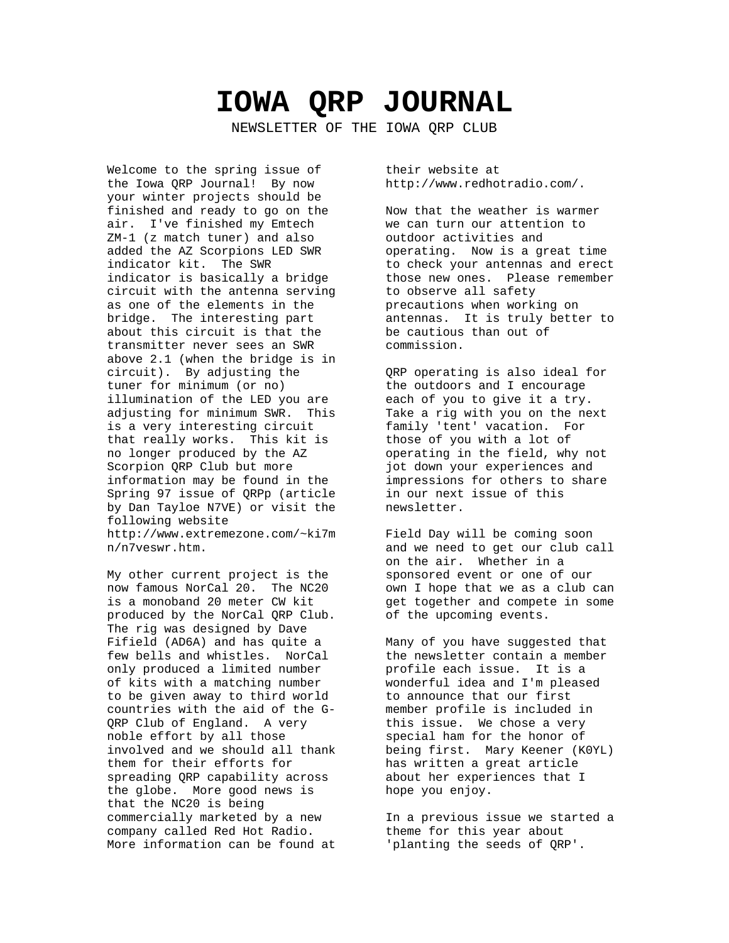# **IOWA QRP JOURNAL**

NEWSLETTER OF THE IOWA QRP CLUB

Welcome to the spring issue of the Iowa QRP Journal! By now your winter projects should be finished and ready to go on the air. I've finished my Emtech ZM-1 (z match tuner) and also added the AZ Scorpions LED SWR indicator kit. The SWR indicator is basically a bridge circuit with the antenna serving as one of the elements in the bridge. The interesting part about this circuit is that the transmitter never sees an SWR above 2.1 (when the bridge is in circuit). By adjusting the tuner for minimum (or no) illumination of the LED you are adjusting for minimum SWR. This is a very interesting circuit that really works. This kit is no longer produced by the AZ Scorpion QRP Club but more information may be found in the Spring 97 issue of QRPp (article by Dan Tayloe N7VE) or visit the following website http://www.extremezone.com/~ki7m n/n7veswr.htm.

My other current project is the now famous NorCal 20. The NC20 is a monoband 20 meter CW kit produced by the NorCal QRP Club. The rig was designed by Dave Fifield (AD6A) and has quite a few bells and whistles. NorCal only produced a limited number of kits with a matching number to be given away to third world countries with the aid of the G-QRP Club of England. A very noble effort by all those involved and we should all thank them for their efforts for spreading QRP capability across the globe. More good news is that the NC20 is being commercially marketed by a new company called Red Hot Radio. More information can be found at

their website at http://www.redhotradio.com/.

Now that the weather is warmer we can turn our attention to outdoor activities and operating. Now is a great time to check your antennas and erect those new ones. Please remember to observe all safety precautions when working on antennas. It is truly better to be cautious than out of commission.

QRP operating is also ideal for the outdoors and I encourage each of you to give it a try. Take a rig with you on the next family 'tent' vacation. For those of you with a lot of operating in the field, why not jot down your experiences and impressions for others to share in our next issue of this newsletter.

Field Day will be coming soon and we need to get our club call on the air. Whether in a sponsored event or one of our own I hope that we as a club can get together and compete in some of the upcoming events.

Many of you have suggested that the newsletter contain a member profile each issue. It is a wonderful idea and I'm pleased to announce that our first member profile is included in this issue. We chose a very special ham for the honor of being first. Mary Keener (K0YL) has written a great article about her experiences that I hope you enjoy.

In a previous issue we started a theme for this year about 'planting the seeds of QRP'.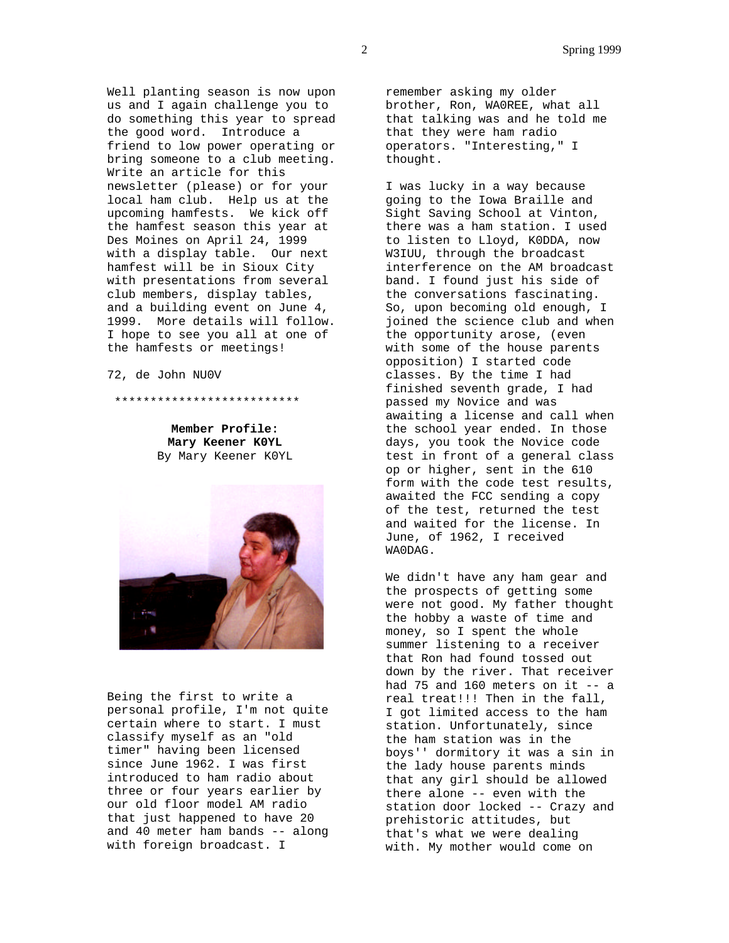Well planting season is now upon us and I again challenge you to do something this year to spread the good word. Introduce a friend to low power operating or bring someone to a club meeting. Write an article for this newsletter (please) or for your local ham club. Help us at the upcoming hamfests. We kick off the hamfest season this year at Des Moines on April 24, 1999 with a display table. Our next hamfest will be in Sioux City with presentations from several club members, display tables, and a building event on June 4, 1999. More details will follow. I hope to see you all at one of the hamfests or meetings!

72, de John NU0V

\*\*\*\*\*\*\*\*\*\*\*\*\*\*\*\*\*\*\*\*\*\*\*\*\*\*

**Member Profile: Mary Keener K0YL** By Mary Keener K0YL



Being the first to write a personal profile, I'm not quite certain where to start. I must classify myself as an "old timer" having been licensed since June 1962. I was first introduced to ham radio about three or four years earlier by our old floor model AM radio that just happened to have 20 and 40 meter ham bands -- along with foreign broadcast. I

remember asking my older brother, Ron, WA0REE, what all that talking was and he told me that they were ham radio operators. "Interesting," I thought.

I was lucky in a way because going to the Iowa Braille and Sight Saving School at Vinton, there was a ham station. I used to listen to Lloyd, K0DDA, now W3IUU, through the broadcast interference on the AM broadcast band. I found just his side of the conversations fascinating. So, upon becoming old enough, I joined the science club and when the opportunity arose, (even with some of the house parents opposition) I started code classes. By the time I had finished seventh grade, I had passed my Novice and was awaiting a license and call when the school year ended. In those days, you took the Novice code test in front of a general class op or higher, sent in the 610 form with the code test results, awaited the FCC sending a copy of the test, returned the test and waited for the license. In June, of 1962, I received WA0DAG.

We didn't have any ham gear and the prospects of getting some were not good. My father thought the hobby a waste of time and money, so I spent the whole summer listening to a receiver that Ron had found tossed out down by the river. That receiver had 75 and 160 meters on it  $-$  a real treat!!! Then in the fall, I got limited access to the ham station. Unfortunately, since the ham station was in the boys'' dormitory it was a sin in the lady house parents minds that any girl should be allowed there alone -- even with the station door locked -- Crazy and prehistoric attitudes, but that's what we were dealing with. My mother would come on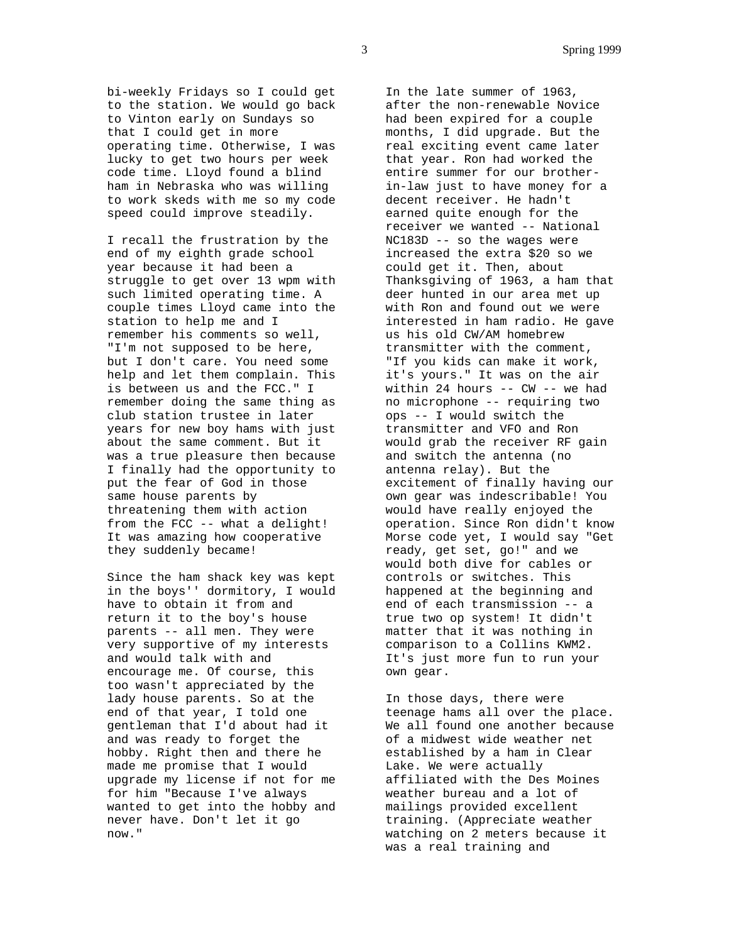bi-weekly Fridays so I could get to the station. We would go back to Vinton early on Sundays so that I could get in more operating time. Otherwise, I was lucky to get two hours per week code time. Lloyd found a blind ham in Nebraska who was willing to work skeds with me so my code speed could improve steadily.

I recall the frustration by the end of my eighth grade school year because it had been a struggle to get over 13 wpm with such limited operating time. A couple times Lloyd came into the station to help me and I remember his comments so well, "I'm not supposed to be here, but I don't care. You need some help and let them complain. This is between us and the FCC." I remember doing the same thing as club station trustee in later years for new boy hams with just about the same comment. But it was a true pleasure then because I finally had the opportunity to put the fear of God in those same house parents by threatening them with action from the FCC -- what a delight! It was amazing how cooperative they suddenly became!

Since the ham shack key was kept in the boys'' dormitory, I would have to obtain it from and return it to the boy's house parents -- all men. They were very supportive of my interests and would talk with and encourage me. Of course, this too wasn't appreciated by the lady house parents. So at the end of that year, I told one gentleman that I'd about had it and was ready to forget the hobby. Right then and there he made me promise that I would upgrade my license if not for me for him "Because I've always wanted to get into the hobby and never have. Don't let it go now."

In the late summer of 1963, after the non-renewable Novice had been expired for a couple months, I did upgrade. But the real exciting event came later that year. Ron had worked the entire summer for our brotherin-law just to have money for a decent receiver. He hadn't earned quite enough for the receiver we wanted -- National NC183D -- so the wages were increased the extra \$20 so we could get it. Then, about Thanksgiving of 1963, a ham that deer hunted in our area met up with Ron and found out we were interested in ham radio. He gave us his old CW/AM homebrew transmitter with the comment, "If you kids can make it work, it's yours." It was on the air within 24 hours -- CW -- we had no microphone -- requiring two ops -- I would switch the transmitter and VFO and Ron would grab the receiver RF gain and switch the antenna (no antenna relay). But the excitement of finally having our own gear was indescribable! You would have really enjoyed the operation. Since Ron didn't know Morse code yet, I would say "Get ready, get set, go!" and we would both dive for cables or controls or switches. This happened at the beginning and end of each transmission -- a true two op system! It didn't matter that it was nothing in comparison to a Collins KWM2. It's just more fun to run your own gear.

In those days, there were teenage hams all over the place. We all found one another because of a midwest wide weather net established by a ham in Clear Lake. We were actually affiliated with the Des Moines weather bureau and a lot of mailings provided excellent training. (Appreciate weather watching on 2 meters because it was a real training and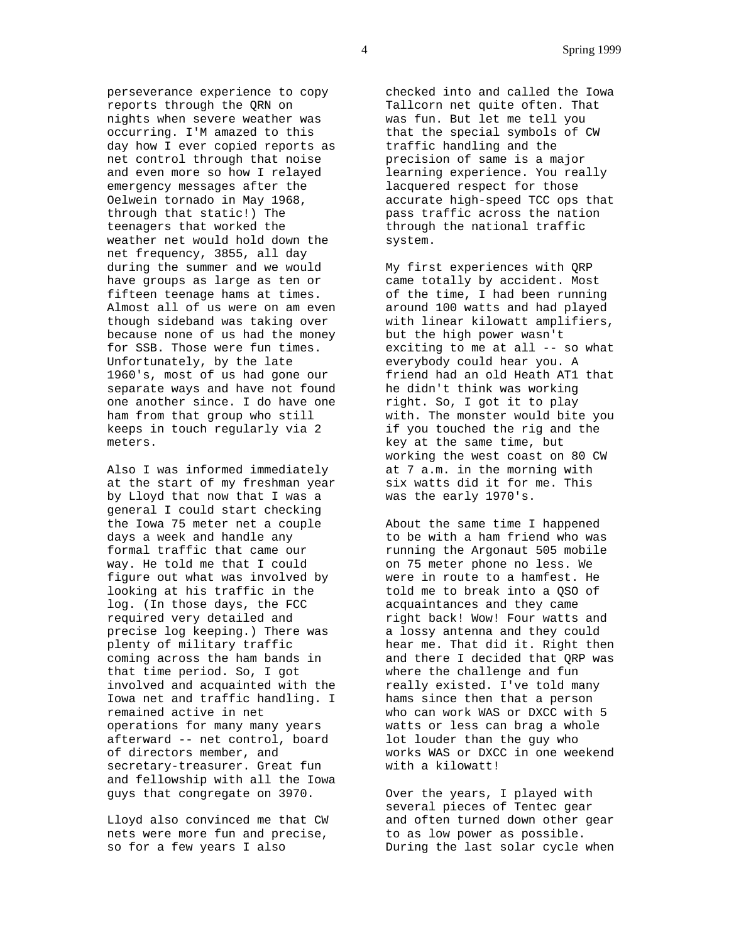perseverance experience to copy reports through the QRN on nights when severe weather was occurring. I'M amazed to this day how I ever copied reports as net control through that noise and even more so how I relayed emergency messages after the Oelwein tornado in May 1968, through that static!) The teenagers that worked the weather net would hold down the net frequency, 3855, all day during the summer and we would have groups as large as ten or fifteen teenage hams at times. Almost all of us were on am even though sideband was taking over because none of us had the money for SSB. Those were fun times. Unfortunately, by the late 1960's, most of us had gone our separate ways and have not found one another since. I do have one ham from that group who still keeps in touch regularly via 2 meters.

Also I was informed immediately at the start of my freshman year by Lloyd that now that I was a general I could start checking the Iowa 75 meter net a couple days a week and handle any formal traffic that came our way. He told me that I could figure out what was involved by looking at his traffic in the log. (In those days, the FCC required very detailed and precise log keeping.) There was plenty of military traffic coming across the ham bands in that time period. So, I got involved and acquainted with the Iowa net and traffic handling. I remained active in net operations for many many years afterward -- net control, board of directors member, and secretary-treasurer. Great fun and fellowship with all the Iowa guys that congregate on 3970.

Lloyd also convinced me that CW nets were more fun and precise, so for a few years I also

checked into and called the Iowa Tallcorn net quite often. That was fun. But let me tell you that the special symbols of CW traffic handling and the precision of same is a major learning experience. You really lacquered respect for those accurate high-speed TCC ops that pass traffic across the nation through the national traffic system.

My first experiences with QRP came totally by accident. Most of the time, I had been running around 100 watts and had played with linear kilowatt amplifiers, but the high power wasn't exciting to me at all -- so what everybody could hear you. A friend had an old Heath AT1 that he didn't think was working right. So, I got it to play with. The monster would bite you if you touched the rig and the key at the same time, but working the west coast on 80 CW at 7 a.m. in the morning with six watts did it for me. This was the early 1970's.

About the same time I happened to be with a ham friend who was running the Argonaut 505 mobile on 75 meter phone no less. We were in route to a hamfest. He told me to break into a QSO of acquaintances and they came right back! Wow! Four watts and a lossy antenna and they could hear me. That did it. Right then and there I decided that QRP was where the challenge and fun really existed. I've told many hams since then that a person who can work WAS or DXCC with 5 watts or less can brag a whole lot louder than the guy who works WAS or DXCC in one weekend with a kilowatt!

Over the years, I played with several pieces of Tentec gear and often turned down other gear to as low power as possible. During the last solar cycle when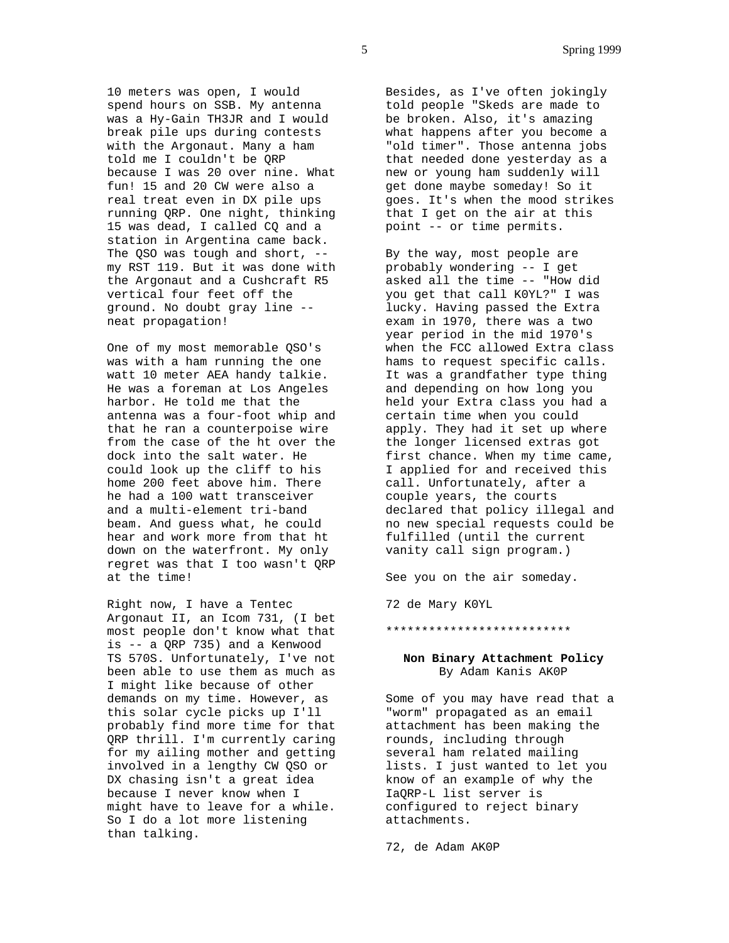10 meters was open, I would spend hours on SSB. My antenna was a Hy-Gain TH3JR and I would break pile ups during contests with the Argonaut. Many a ham told me I couldn't be QRP because I was 20 over nine. What fun! 15 and 20 CW were also a real treat even in DX pile ups running QRP. One night, thinking 15 was dead, I called CQ and a station in Argentina came back. The QSO was tough and short, -my RST 119. But it was done with the Argonaut and a Cushcraft R5 vertical four feet off the ground. No doubt gray line - neat propagation!

One of my most memorable QSO's was with a ham running the one watt 10 meter AEA handy talkie. He was a foreman at Los Angeles harbor. He told me that the antenna was a four-foot whip and that he ran a counterpoise wire from the case of the ht over the dock into the salt water. He could look up the cliff to his home 200 feet above him. There he had a 100 watt transceiver and a multi-element tri-band beam. And guess what, he could hear and work more from that ht down on the waterfront. My only regret was that I too wasn't QRP at the time!

Right now, I have a Tentec Argonaut II, an Icom 731, (I bet most people don't know what that is -- a QRP 735) and a Kenwood TS 570S. Unfortunately, I've not been able to use them as much as I might like because of other demands on my time. However, as this solar cycle picks up I'll probably find more time for that QRP thrill. I'm currently caring for my ailing mother and getting involved in a lengthy CW QSO or DX chasing isn't a great idea because I never know when I might have to leave for a while. So I do a lot more listening than talking.

Besides, as I've often jokingly told people "Skeds are made to be broken. Also, it's amazing what happens after you become a "old timer". Those antenna jobs that needed done yesterday as a new or young ham suddenly will get done maybe someday! So it goes. It's when the mood strikes that I get on the air at this point -- or time permits.

By the way, most people are probably wondering -- I get asked all the time -- "How did you get that call K0YL?" I was lucky. Having passed the Extra exam in 1970, there was a two year period in the mid 1970's when the FCC allowed Extra class hams to request specific calls. It was a grandfather type thing and depending on how long you held your Extra class you had a certain time when you could apply. They had it set up where the longer licensed extras got first chance. When my time came, I applied for and received this call. Unfortunately, after a couple years, the courts declared that policy illegal and no new special requests could be fulfilled (until the current vanity call sign program.)

See you on the air someday.

72 de Mary K0YL

\*\*\*\*\*\*\*\*\*\*\*\*\*\*\*\*\*\*\*\*\*\*\*\*\*\*

# **Non Binary Attachment Policy** By Adam Kanis AK0P

Some of you may have read that a "worm" propagated as an email attachment has been making the rounds, including through several ham related mailing lists. I just wanted to let you know of an example of why the IaQRP-L list server is configured to reject binary attachments.

72, de Adam AK0P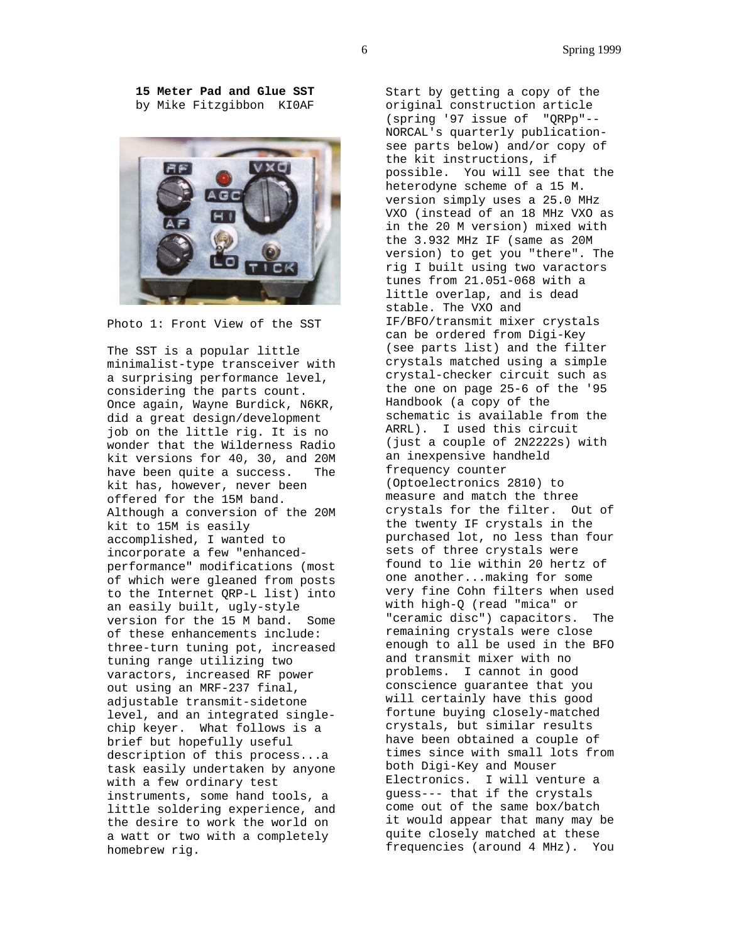**15 Meter Pad and Glue SST** by Mike Fitzgibbon KI0AF



Photo 1: Front View of the SST

The SST is a popular little minimalist-type transceiver with a surprising performance level, considering the parts count. Once again, Wayne Burdick, N6KR, did a great design/development job on the little rig. It is no wonder that the Wilderness Radio kit versions for 40, 30, and 20M have been quite a success. The kit has, however, never been offered for the 15M band. Although a conversion of the 20M kit to 15M is easily accomplished, I wanted to incorporate a few "enhancedperformance" modifications (most of which were gleaned from posts to the Internet QRP-L list) into an easily built, ugly-style version for the 15 M band. Some of these enhancements include: three-turn tuning pot, increased tuning range utilizing two varactors, increased RF power out using an MRF-237 final, adjustable transmit-sidetone level, and an integrated singlechip keyer. What follows is a brief but hopefully useful description of this process...a task easily undertaken by anyone with a few ordinary test instruments, some hand tools, a little soldering experience, and the desire to work the world on a watt or two with a completely homebrew rig.

Start by getting a copy of the original construction article (spring '97 issue of "QRPp"-- NORCAL's quarterly publicationsee parts below) and/or copy of the kit instructions, if possible. You will see that the heterodyne scheme of a 15 M. version simply uses a 25.0 MHz VXO (instead of an 18 MHz VXO as in the 20 M version) mixed with the 3.932 MHz IF (same as 20M version) to get you "there". The rig I built using two varactors tunes from 21.051-068 with a little overlap, and is dead stable. The VXO and IF/BFO/transmit mixer crystals can be ordered from Digi-Key (see parts list) and the filter crystals matched using a simple crystal-checker circuit such as the one on page 25-6 of the '95 Handbook (a copy of the schematic is available from the ARRL). I used this circuit (just a couple of 2N2222s) with an inexpensive handheld frequency counter (Optoelectronics 2810) to measure and match the three crystals for the filter. Out of the twenty IF crystals in the purchased lot, no less than four sets of three crystals were found to lie within 20 hertz of one another...making for some very fine Cohn filters when used with high-Q (read "mica" or "ceramic disc") capacitors. The remaining crystals were close enough to all be used in the BFO and transmit mixer with no problems. I cannot in good conscience guarantee that you will certainly have this good fortune buying closely-matched crystals, but similar results have been obtained a couple of times since with small lots from both Digi-Key and Mouser Electronics. I will venture a guess--- that if the crystals come out of the same box/batch it would appear that many may be quite closely matched at these frequencies (around 4 MHz). You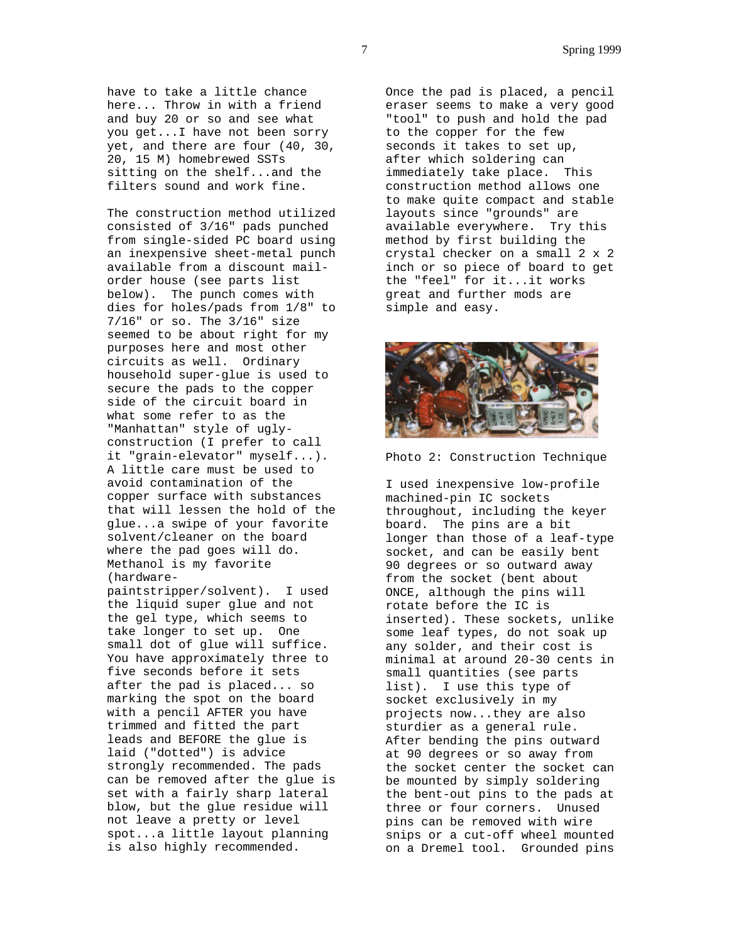have to take a little chance here... Throw in with a friend and buy 20 or so and see what you get...I have not been sorry yet, and there are four (40, 30, 20, 15 M) homebrewed SSTs sitting on the shelf...and the filters sound and work fine.

The construction method utilized consisted of 3/16" pads punched from single-sided PC board using an inexpensive sheet-metal punch available from a discount mailorder house (see parts list below). The punch comes with dies for holes/pads from 1/8" to 7/16" or so. The 3/16" size seemed to be about right for my purposes here and most other circuits as well. Ordinary household super-glue is used to secure the pads to the copper side of the circuit board in what some refer to as the "Manhattan" style of uglyconstruction (I prefer to call it "grain-elevator" myself...). A little care must be used to avoid contamination of the copper surface with substances that will lessen the hold of the glue...a swipe of your favorite solvent/cleaner on the board where the pad goes will do. Methanol is my favorite (hardware-

paintstripper/solvent). I used the liquid super glue and not the gel type, which seems to take longer to set up. One small dot of glue will suffice. You have approximately three to five seconds before it sets after the pad is placed... so marking the spot on the board with a pencil AFTER you have trimmed and fitted the part leads and BEFORE the glue is laid ("dotted") is advice strongly recommended. The pads can be removed after the glue is set with a fairly sharp lateral blow, but the glue residue will not leave a pretty or level spot...a little layout planning is also highly recommended.

Once the pad is placed, a pencil eraser seems to make a very good "tool" to push and hold the pad to the copper for the few seconds it takes to set up, after which soldering can immediately take place. This construction method allows one to make quite compact and stable layouts since "grounds" are available everywhere. Try this method by first building the crystal checker on a small 2 x 2 inch or so piece of board to get the "feel" for it...it works great and further mods are simple and easy.



Photo 2: Construction Technique

I used inexpensive low-profile machined-pin IC sockets throughout, including the keyer board. The pins are a bit longer than those of a leaf-type socket, and can be easily bent 90 degrees or so outward away from the socket (bent about ONCE, although the pins will rotate before the IC is inserted). These sockets, unlike some leaf types, do not soak up any solder, and their cost is minimal at around 20-30 cents in small quantities (see parts list). I use this type of socket exclusively in my projects now...they are also sturdier as a general rule. After bending the pins outward at 90 degrees or so away from the socket center the socket can be mounted by simply soldering the bent-out pins to the pads at three or four corners. Unused pins can be removed with wire snips or a cut-off wheel mounted on a Dremel tool. Grounded pins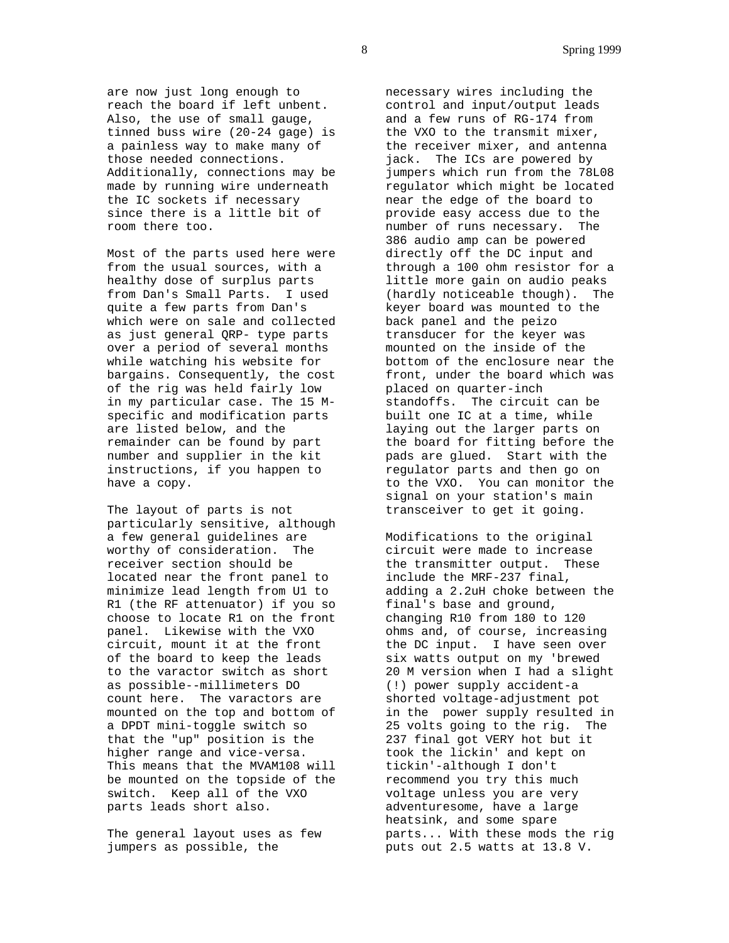are now just long enough to reach the board if left unbent. Also, the use of small gauge, tinned buss wire (20-24 gage) is a painless way to make many of those needed connections. Additionally, connections may be made by running wire underneath the IC sockets if necessary since there is a little bit of room there too.

Most of the parts used here were from the usual sources, with a healthy dose of surplus parts from Dan's Small Parts. I used quite a few parts from Dan's which were on sale and collected as just general QRP- type parts over a period of several months while watching his website for bargains. Consequently, the cost of the rig was held fairly low in my particular case. The 15 Mspecific and modification parts are listed below, and the remainder can be found by part number and supplier in the kit instructions, if you happen to have a copy.

The layout of parts is not particularly sensitive, although a few general guidelines are worthy of consideration. The receiver section should be located near the front panel to minimize lead length from U1 to R1 (the RF attenuator) if you so choose to locate R1 on the front panel. Likewise with the VXO circuit, mount it at the front of the board to keep the leads to the varactor switch as short as possible--millimeters DO count here. The varactors are mounted on the top and bottom of a DPDT mini-toggle switch so that the "up" position is the higher range and vice-versa. This means that the MVAM108 will be mounted on the topside of the switch. Keep all of the VXO parts leads short also.

The general layout uses as few jumpers as possible, the

necessary wires including the control and input/output leads and a few runs of RG-174 from the VXO to the transmit mixer, the receiver mixer, and antenna jack. The ICs are powered by jumpers which run from the 78L08 regulator which might be located near the edge of the board to provide easy access due to the number of runs necessary. The 386 audio amp can be powered directly off the DC input and through a 100 ohm resistor for a little more gain on audio peaks (hardly noticeable though). The keyer board was mounted to the back panel and the peizo transducer for the keyer was mounted on the inside of the bottom of the enclosure near the front, under the board which was placed on quarter-inch standoffs. The circuit can be built one IC at a time, while laying out the larger parts on the board for fitting before the pads are glued. Start with the regulator parts and then go on to the VXO. You can monitor the signal on your station's main transceiver to get it going.

Modifications to the original circuit were made to increase the transmitter output. These include the MRF-237 final, adding a 2.2uH choke between the final's base and ground, changing R10 from 180 to 120 ohms and, of course, increasing the DC input. I have seen over six watts output on my 'brewed 20 M version when I had a slight (!) power supply accident-a shorted voltage-adjustment pot in the power supply resulted in 25 volts going to the rig. The 237 final got VERY hot but it took the lickin' and kept on tickin'-although I don't recommend you try this much voltage unless you are very adventuresome, have a large heatsink, and some spare parts... With these mods the rig puts out 2.5 watts at 13.8 V.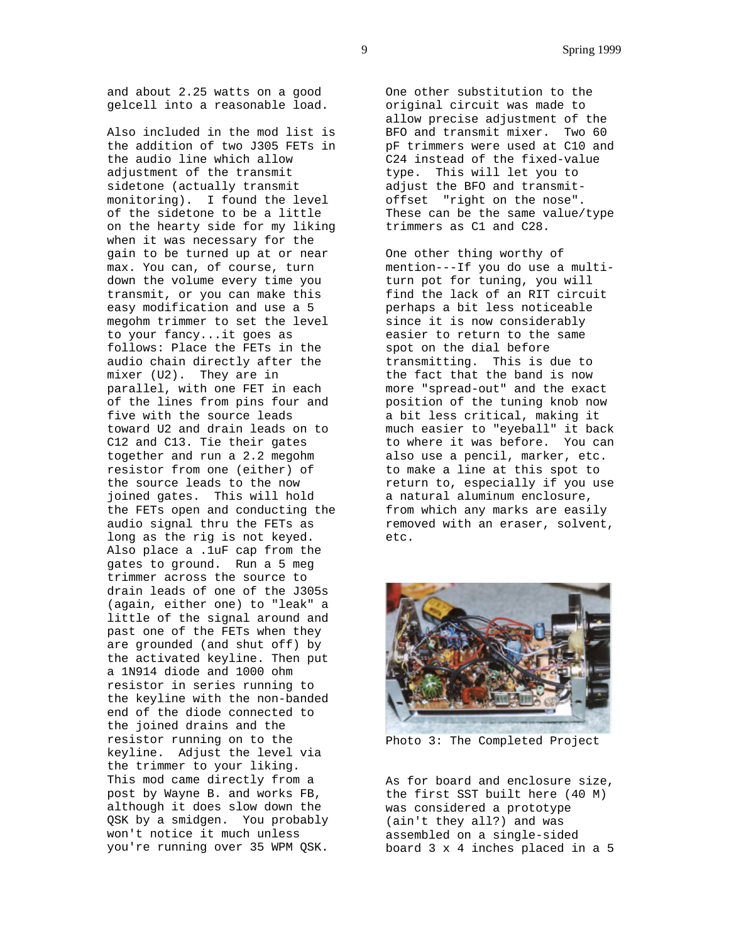and about 2.25 watts on a good gelcell into a reasonable load.

Also included in the mod list is the addition of two J305 FETs in the audio line which allow adjustment of the transmit sidetone (actually transmit monitoring). I found the level of the sidetone to be a little on the hearty side for my liking when it was necessary for the gain to be turned up at or near max. You can, of course, turn down the volume every time you transmit, or you can make this easy modification and use a 5 megohm trimmer to set the level to your fancy...it goes as follows: Place the FETs in the audio chain directly after the mixer (U2). They are in parallel, with one FET in each of the lines from pins four and five with the source leads toward U2 and drain leads on to C12 and C13. Tie their gates together and run a 2.2 megohm resistor from one (either) of the source leads to the now joined gates. This will hold the FETs open and conducting the audio signal thru the FETs as long as the rig is not keyed. Also place a .1uF cap from the gates to ground. Run a 5 meg trimmer across the source to drain leads of one of the J305s (again, either one) to "leak" a little of the signal around and past one of the FETs when they are grounded (and shut off) by the activated keyline. Then put a 1N914 diode and 1000 ohm resistor in series running to the keyline with the non-banded end of the diode connected to the joined drains and the resistor running on to the keyline. Adjust the level via the trimmer to your liking. This mod came directly from a post by Wayne B. and works FB, although it does slow down the OSK by a smidgen. You probably won't notice it much unless you're running over 35 WPM QSK.

One other substitution to the original circuit was made to allow precise adjustment of the BFO and transmit mixer. Two 60 pF trimmers were used at C10 and C24 instead of the fixed-value type. This will let you to adjust the BFO and transmitoffset "right on the nose". These can be the same value/type trimmers as C1 and C28.

One other thing worthy of mention---If you do use a multiturn pot for tuning, you will find the lack of an RIT circuit perhaps a bit less noticeable since it is now considerably easier to return to the same spot on the dial before transmitting. This is due to the fact that the band is now more "spread-out" and the exact position of the tuning knob now a bit less critical, making it much easier to "eyeball" it back to where it was before. You can also use a pencil, marker, etc. to make a line at this spot to return to, especially if you use a natural aluminum enclosure, from which any marks are easily removed with an eraser, solvent, etc.



Photo 3: The Completed Project

As for board and enclosure size, the first SST built here (40 M) was considered a prototype (ain't they all?) and was assembled on a single-sided board 3 x 4 inches placed in a 5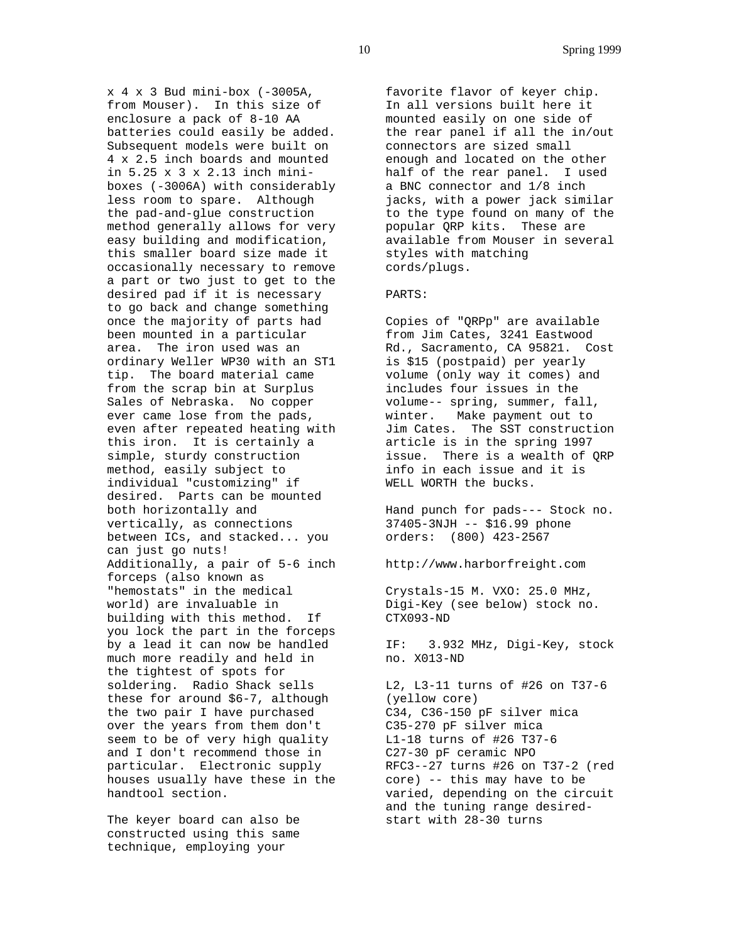$x$  4  $x$  3 Bud mini-box (-3005A, from Mouser). In this size of enclosure a pack of 8-10 AA batteries could easily be added. Subsequent models were built on 4 x 2.5 inch boards and mounted in 5.25 x 3 x 2.13 inch miniboxes (-3006A) with considerably less room to spare. Although the pad-and-glue construction method generally allows for very easy building and modification, this smaller board size made it occasionally necessary to remove a part or two just to get to the desired pad if it is necessary to go back and change something once the majority of parts had been mounted in a particular area. The iron used was an ordinary Weller WP30 with an ST1 tip. The board material came from the scrap bin at Surplus Sales of Nebraska. No copper ever came lose from the pads, even after repeated heating with this iron. It is certainly a simple, sturdy construction method, easily subject to individual "customizing" if desired. Parts can be mounted both horizontally and vertically, as connections between ICs, and stacked... you can just go nuts! Additionally, a pair of 5-6 inch forceps (also known as "hemostats" in the medical world) are invaluable in building with this method. If you lock the part in the forceps by a lead it can now be handled much more readily and held in the tightest of spots for soldering. Radio Shack sells these for around \$6-7, although the two pair I have purchased over the years from them don't seem to be of very high quality and I don't recommend those in particular. Electronic supply houses usually have these in the handtool section.

The keyer board can also be constructed using this same technique, employing your

favorite flavor of keyer chip. In all versions built here it mounted easily on one side of the rear panel if all the in/out connectors are sized small enough and located on the other half of the rear panel. I used a BNC connector and 1/8 inch jacks, with a power jack similar to the type found on many of the popular QRP kits. These are available from Mouser in several styles with matching cords/plugs.

## PARTS:

Copies of "QRPp" are available from Jim Cates, 3241 Eastwood Rd., Sacramento, CA 95821. Cost is \$15 (postpaid) per yearly volume (only way it comes) and includes four issues in the volume-- spring, summer, fall, winter. Make payment out to Jim Cates. The SST construction article is in the spring 1997 issue. There is a wealth of QRP info in each issue and it is WELL WORTH the bucks.

Hand punch for pads--- Stock no. 37405-3NJH -- \$16.99 phone orders: (800) 423-2567

http://www.harborfreight.com

Crystals-15 M. VXO: 25.0 MHz, Digi-Key (see below) stock no. CTX093-ND

IF: 3.932 MHz, Digi-Key, stock no. X013-ND

L2, L3-11 turns of #26 on T37-6 (yellow core) C34, C36-150 pF silver mica C35-270 pF silver mica L1-18 turns of #26 T37-6 C27-30 pF ceramic NPO RFC3--27 turns #26 on T37-2 (red core) -- this may have to be varied, depending on the circuit and the tuning range desiredstart with 28-30 turns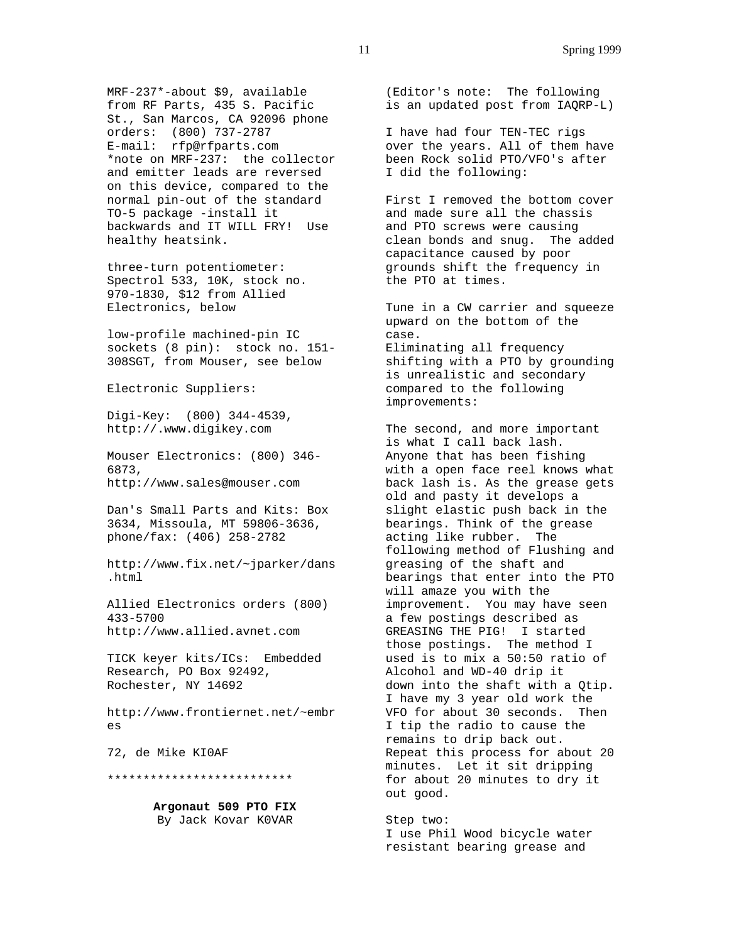MRF-237\*-about \$9, available from RF Parts, 435 S. Pacific St., San Marcos, CA 92096 phone orders: (800) 737-2787 E-mail: rfp@rfparts.com \*note on MRF-237: the collector and emitter leads are reversed on this device, compared to the normal pin-out of the standard TO-5 package -install it backwards and IT WILL FRY! Use healthy heatsink.

three-turn potentiometer: Spectrol 533, 10K, stock no. 970-1830, \$12 from Allied Electronics, below

low-profile machined-pin IC sockets (8 pin): stock no. 151- 308SGT, from Mouser, see below

Electronic Suppliers:

Digi-Key: (800) 344-4539, http://.www.digikey.com

Mouser Electronics: (800) 346- 6873, http://www.sales@mouser.com

Dan's Small Parts and Kits: Box 3634, Missoula, MT 59806-3636, phone/fax: (406) 258-2782

http://www.fix.net/~jparker/dans .html

Allied Electronics orders (800) 433-5700 http://www.allied.avnet.com

TICK keyer kits/ICs: Embedded Research, PO Box 92492, Rochester, NY 14692

http://www.frontiernet.net/~embr es

72, de Mike KI0AF

\*\*\*\*\*\*\*\*\*\*\*\*\*\*\*\*\*\*\*\*\*\*\*\*\*\*

**Argonaut 509 PTO FIX** By Jack Kovar K0VAR

(Editor's note: The following is an updated post from IAQRP-L)

I have had four TEN-TEC rigs over the years. All of them have been Rock solid PTO/VFO's after I did the following:

First I removed the bottom cover and made sure all the chassis and PTO screws were causing clean bonds and snug. The added capacitance caused by poor grounds shift the frequency in the PTO at times.

Tune in a CW carrier and squeeze upward on the bottom of the case. Eliminating all frequency shifting with a PTO by grounding is unrealistic and secondary compared to the following improvements:

The second, and more important is what I call back lash. Anyone that has been fishing with a open face reel knows what back lash is. As the grease gets old and pasty it develops a slight elastic push back in the bearings. Think of the grease acting like rubber. The following method of Flushing and greasing of the shaft and bearings that enter into the PTO will amaze you with the improvement. You may have seen a few postings described as GREASING THE PIG! I started those postings. The method I used is to mix a 50:50 ratio of Alcohol and WD-40 drip it down into the shaft with a Qtip. I have my 3 year old work the VFO for about 30 seconds. Then I tip the radio to cause the remains to drip back out. Repeat this process for about 20 minutes. Let it sit dripping for about 20 minutes to dry it out good.

Step two: I use Phil Wood bicycle water resistant bearing grease and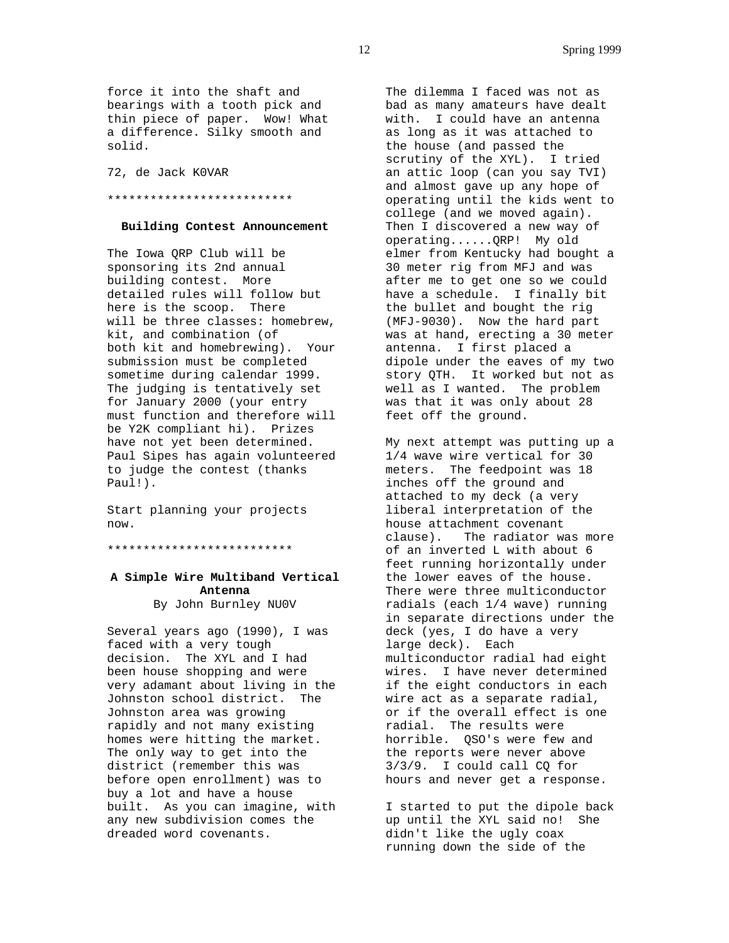force it into the shaft and bearings with a tooth pick and thin piece of paper. Wow! What a difference. Silky smooth and solid.

72, de Jack K0VAR

# \*\*\*\*\*\*\*\*\*\*\*\*\*\*\*\*\*\*\*\*\*\*\*\*\*\*

#### **Building Contest Announcement**

The Iowa QRP Club will be sponsoring its 2nd annual building contest. More detailed rules will follow but here is the scoop. There will be three classes: homebrew, kit, and combination (of both kit and homebrewing). Your submission must be completed sometime during calendar 1999. The judging is tentatively set for January 2000 (your entry must function and therefore will be Y2K compliant hi). Prizes have not yet been determined. Paul Sipes has again volunteered to judge the contest (thanks Paul!).

Start planning your projects now.

\*\*\*\*\*\*\*\*\*\*\*\*\*\*\*\*\*\*\*\*\*\*\*\*\*\*

# **A Simple Wire Multiband Vertical Antenna** By John Burnley NU0V

Several years ago (1990), I was faced with a very tough decision. The XYL and I had been house shopping and were very adamant about living in the Johnston school district. The Johnston area was growing rapidly and not many existing homes were hitting the market. The only way to get into the district (remember this was before open enrollment) was to buy a lot and have a house built. As you can imagine, with any new subdivision comes the dreaded word covenants.

The dilemma I faced was not as bad as many amateurs have dealt with. I could have an antenna as long as it was attached to the house (and passed the scrutiny of the XYL). I tried an attic loop (can you say TVI) and almost gave up any hope of operating until the kids went to college (and we moved again). Then I discovered a new way of operating......QRP! My old elmer from Kentucky had bought a 30 meter rig from MFJ and was after me to get one so we could have a schedule. I finally bit the bullet and bought the rig (MFJ-9030). Now the hard part was at hand, erecting a 30 meter antenna. I first placed a dipole under the eaves of my two story QTH. It worked but not as well as I wanted. The problem was that it was only about 28 feet off the ground.

My next attempt was putting up a 1/4 wave wire vertical for 30 meters. The feedpoint was 18 inches off the ground and attached to my deck (a very liberal interpretation of the house attachment covenant clause). The radiator was more of an inverted L with about 6 feet running horizontally under the lower eaves of the house. There were three multiconductor radials (each 1/4 wave) running in separate directions under the deck (yes, I do have a very large deck). Each multiconductor radial had eight wires. I have never determined if the eight conductors in each wire act as a separate radial, or if the overall effect is one radial. The results were horrible. OSO's were few and the reports were never above 3/3/9. I could call CQ for hours and never get a response.

I started to put the dipole back up until the XYL said no! She didn't like the ugly coax running down the side of the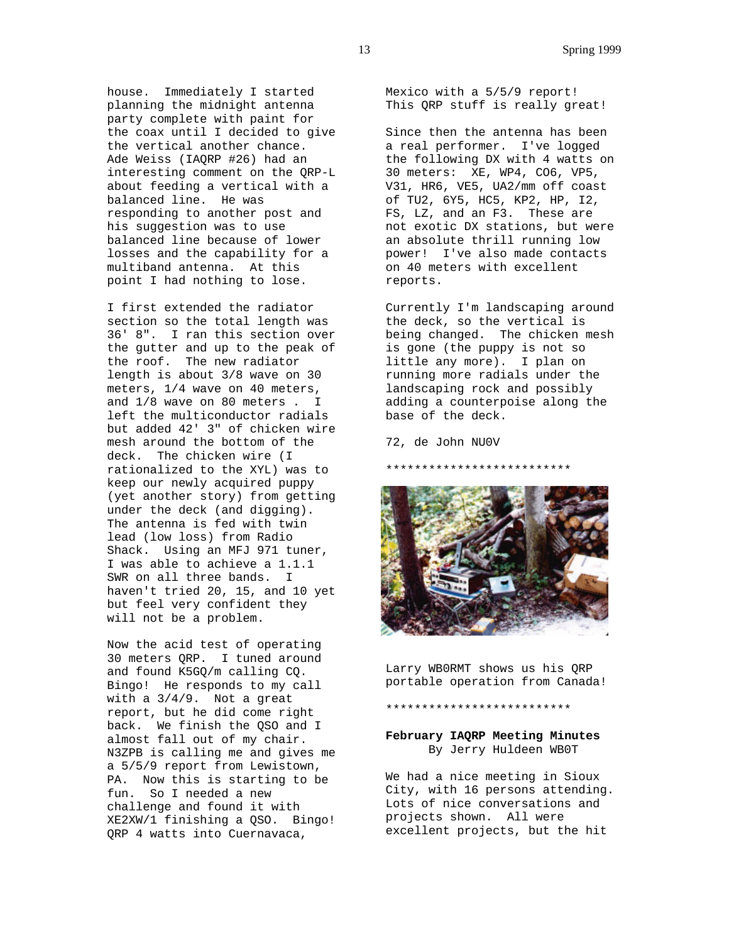house. Immediately I started planning the midnight antenna party complete with paint for the coax until I decided to give the vertical another chance. Ade Weiss (IAQRP #26) had an interesting comment on the QRP-L about feeding a vertical with a balanced line. He was responding to another post and his suggestion was to use balanced line because of lower losses and the capability for a multiband antenna. At this point I had nothing to lose.

I first extended the radiator section so the total length was 36' 8". I ran this section over the gutter and up to the peak of the roof. The new radiator length is about 3/8 wave on 30 meters, 1/4 wave on 40 meters, and 1/8 wave on 80 meters . I left the multiconductor radials but added 42' 3" of chicken wire mesh around the bottom of the deck. The chicken wire (I rationalized to the XYL) was to keep our newly acquired puppy (yet another story) from getting under the deck (and digging). The antenna is fed with twin lead (low loss) from Radio Shack. Using an MFJ 971 tuner, I was able to achieve a 1.1.1 SWR on all three bands. I haven't tried 20, 15, and 10 yet but feel very confident they will not be a problem.

Now the acid test of operating 30 meters QRP. I tuned around and found K5GQ/m calling CQ. Bingo! He responds to my call with a 3/4/9. Not a great report, but he did come right back. We finish the QSO and I almost fall out of my chair. N3ZPB is calling me and gives me a 5/5/9 report from Lewistown, PA. Now this is starting to be fun. So I needed a new challenge and found it with XE2XW/1 finishing a QSO. Bingo! QRP 4 watts into Cuernavaca,

Mexico with a 5/5/9 report! This QRP stuff is really great!

Since then the antenna has been a real performer. I've logged the following DX with 4 watts on 30 meters: XE, WP4, CO6, VP5, V31, HR6, VE5, UA2/mm off coast of TU2, 6Y5, HC5, KP2, HP, I2, FS, LZ, and an F3. These are not exotic DX stations, but were an absolute thrill running low power! I've also made contacts on 40 meters with excellent reports.

Currently I'm landscaping around the deck, so the vertical is being changed. The chicken mesh is gone (the puppy is not so little any more). I plan on running more radials under the landscaping rock and possibly adding a counterpoise along the base of the deck.

72, de John NU0V

\*\*\*\*\*\*\*\*\*\*\*\*\*\*\*\*\*\*\*\*\*\*\*\*\*\*



Larry WB0RMT shows us his QRP portable operation from Canada!

## \*\*\*\*\*\*\*\*\*\*\*\*\*\*\*\*\*\*\*\*\*\*\*\*\*\*

**February IAQRP Meeting Minutes** By Jerry Huldeen WB0T

We had a nice meeting in Sioux City, with 16 persons attending. Lots of nice conversations and projects shown. All were excellent projects, but the hit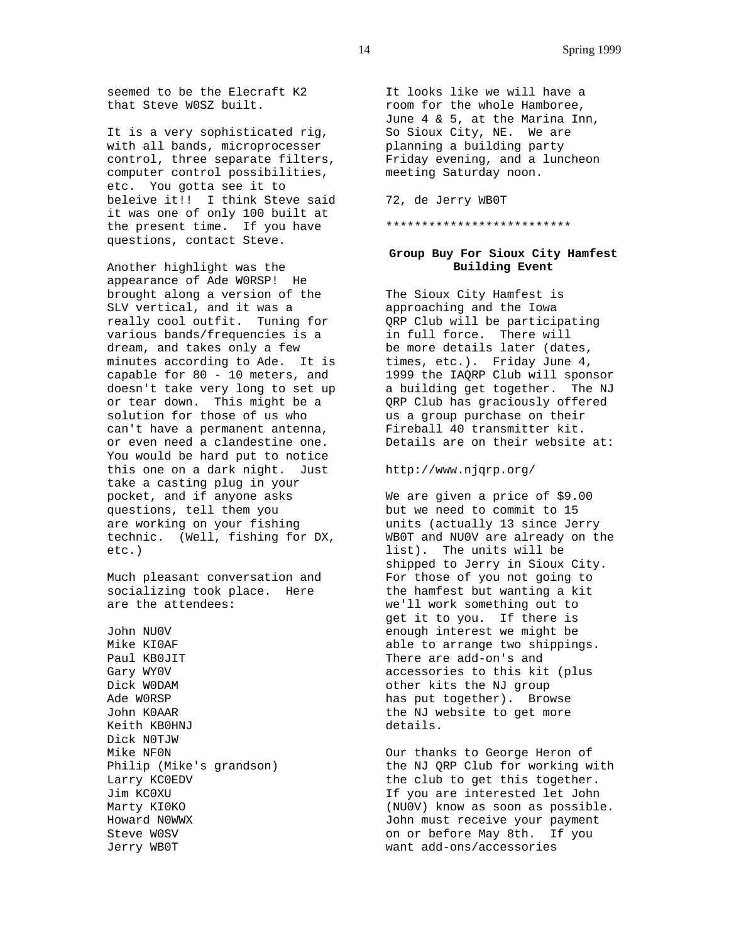seemed to be the Elecraft K2 that Steve W0SZ built.

It is a very sophisticated rig, with all bands, microprocesser control, three separate filters, computer control possibilities, etc. You gotta see it to beleive it!! I think Steve said it was one of only 100 built at the present time. If you have questions, contact Steve.

Another highlight was the appearance of Ade W0RSP! He brought along a version of the SLV vertical, and it was a really cool outfit. Tuning for various bands/frequencies is a dream, and takes only a few minutes according to Ade. It is capable for 80 - 10 meters, and doesn't take very long to set up or tear down. This might be a solution for those of us who can't have a permanent antenna, or even need a clandestine one. You would be hard put to notice this one on a dark night. Just take a casting plug in your pocket, and if anyone asks questions, tell them you are working on your fishing technic. (Well, fishing for DX, etc.)

Much pleasant conversation and socializing took place. Here are the attendees:

John NU0V Mike KI0AF Paul KB0JIT Gary WY0V Dick W0DAM Ade W0RSP John K0AAR Keith KB0HNJ Dick N0TJW Mike NF0N Philip (Mike's grandson) Larry KC0EDV Jim KC0XU Marty KI0KO Howard N0WWX Steve W0SV Jerry WB0T

It looks like we will have a room for the whole Hamboree, June 4 & 5, at the Marina Inn, So Sioux City, NE. We are planning a building party Friday evening, and a luncheon meeting Saturday noon.

72, de Jerry WB0T

\*\*\*\*\*\*\*\*\*\*\*\*\*\*\*\*\*\*\*\*\*\*\*\*\*\*

# **Group Buy For Sioux City Hamfest Building Event**

The Sioux City Hamfest is approaching and the Iowa QRP Club will be participating in full force. There will be more details later (dates, times, etc.). Friday June 4, 1999 the IAQRP Club will sponsor a building get together. The NJ QRP Club has graciously offered us a group purchase on their Fireball 40 transmitter kit. Details are on their website at:

http://www.njqrp.org/

We are given a price of \$9.00 but we need to commit to 15 units (actually 13 since Jerry WB0T and NU0V are already on the list). The units will be shipped to Jerry in Sioux City. For those of you not going to the hamfest but wanting a kit we'll work something out to get it to you. If there is enough interest we might be able to arrange two shippings. There are add-on's and accessories to this kit (plus other kits the NJ group has put together). Browse the NJ website to get more details.

Our thanks to George Heron of the NJ QRP Club for working with the club to get this together. If you are interested let John (NU0V) know as soon as possible. John must receive your payment on or before May 8th. If you want add-ons/accessories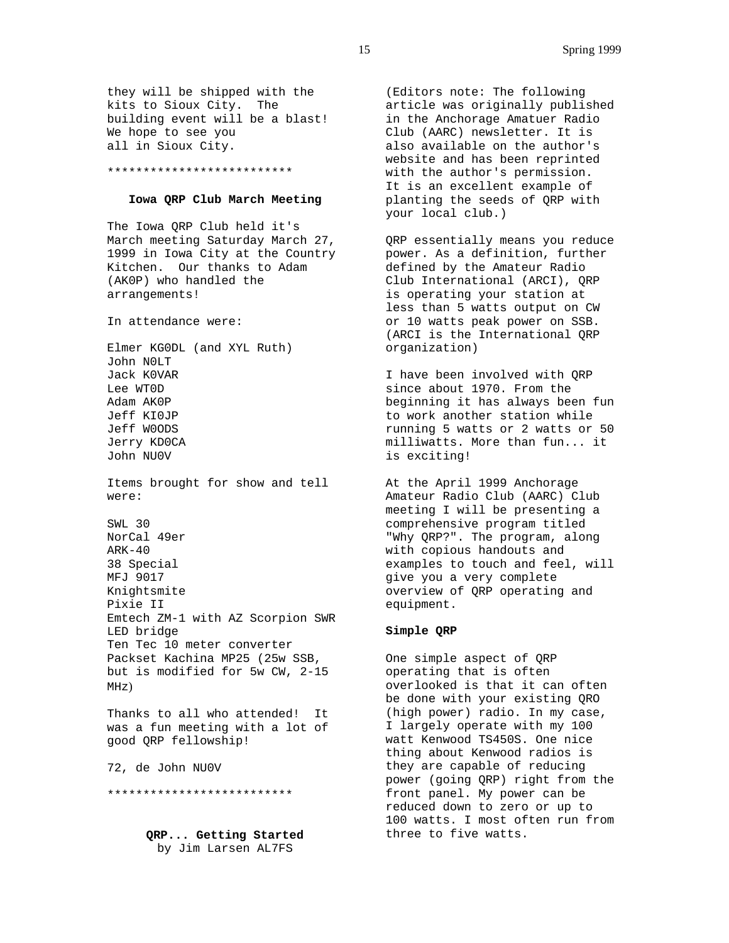they will be shipped with the kits to Sioux City. The building event will be a blast! We hope to see you all in Sioux City.

#### \*\*\*\*\*\*\*\*\*\*\*\*\*\*\*\*\*\*\*\*\*\*\*\*\*\*

#### **Iowa QRP Club March Meeting**

The Iowa QRP Club held it's March meeting Saturday March 27, 1999 in Iowa City at the Country Kitchen. Our thanks to Adam (AK0P) who handled the arrangements!

In attendance were:

Elmer KG0DL (and XYL Ruth) John N0LT Jack K0VAR Lee WT0D Adam AK0P Jeff KI0JP Jeff W0ODS Jerry KD0CA John NU0V Items brought for show and tell were: SWL 30

NorCal 49er ARK-40 38 Special MFJ 9017 Knightsmite Pixie II Emtech ZM-1 with AZ Scorpion SWR LED bridge Ten Tec 10 meter converter Packset Kachina MP25 (25w SSB, but is modified for 5w CW, 2-15 MHz)

Thanks to all who attended! It was a fun meeting with a lot of good QRP fellowship!

72, de John NU0V

\*\*\*\*\*\*\*\*\*\*\*\*\*\*\*\*\*\*\*\*\*\*\*\*\*\*

**QRP... Getting Started** by Jim Larsen AL7FS

(Editors note: The following article was originally published in the Anchorage Amatuer Radio Club (AARC) newsletter. It is also available on the author's website and has been reprinted with the author's permission. It is an excellent example of planting the seeds of QRP with your local club.)

QRP essentially means you reduce power. As a definition, further defined by the Amateur Radio Club International (ARCI), QRP is operating your station at less than 5 watts output on CW or 10 watts peak power on SSB. (ARCI is the International QRP organization)

I have been involved with QRP since about 1970. From the beginning it has always been fun to work another station while running 5 watts or 2 watts or 50 milliwatts. More than fun... it is exciting!

At the April 1999 Anchorage Amateur Radio Club (AARC) Club meeting I will be presenting a comprehensive program titled "Why QRP?". The program, along with copious handouts and examples to touch and feel, will give you a very complete overview of QRP operating and equipment.

## **Simple QRP**

One simple aspect of QRP operating that is often overlooked is that it can often be done with your existing QRO (high power) radio. In my case, I largely operate with my 100 watt Kenwood TS450S. One nice thing about Kenwood radios is they are capable of reducing power (going QRP) right from the front panel. My power can be reduced down to zero or up to 100 watts. I most often run from three to five watts.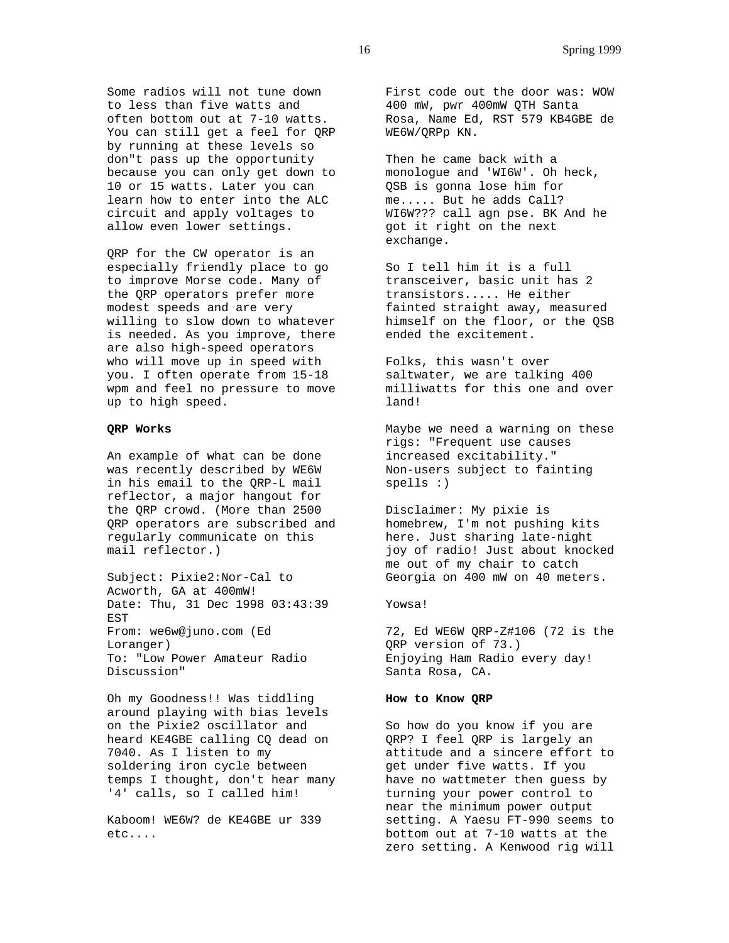Some radios will not tune down to less than five watts and often bottom out at 7-10 watts. You can still get a feel for QRP by running at these levels so don"t pass up the opportunity because you can only get down to 10 or 15 watts. Later you can learn how to enter into the ALC circuit and apply voltages to allow even lower settings.

QRP for the CW operator is an especially friendly place to go to improve Morse code. Many of the QRP operators prefer more modest speeds and are very willing to slow down to whatever is needed. As you improve, there are also high-speed operators who will move up in speed with you. I often operate from 15-18 wpm and feel no pressure to move up to high speed.

# **QRP Works**

An example of what can be done was recently described by WE6W in his email to the QRP-L mail reflector, a major hangout for the QRP crowd. (More than 2500 QRP operators are subscribed and regularly communicate on this mail reflector.)

Subject: Pixie2:Nor-Cal to Acworth, GA at 400mW! Date: Thu, 31 Dec 1998 03:43:39 EST From: we6w@juno.com (Ed Loranger) To: "Low Power Amateur Radio Discussion"

Oh my Goodness!! Was tiddling around playing with bias levels on the Pixie2 oscillator and heard KE4GBE calling CQ dead on 7040. As I listen to my soldering iron cycle between temps I thought, don't hear many '4' calls, so I called him!

Kaboom! WE6W? de KE4GBE ur 339 etc....

First code out the door was: WOW 400 mW, pwr 400mW QTH Santa Rosa, Name Ed, RST 579 KB4GBE de WE6W/QRPp KN.

Then he came back with a monologue and 'WI6W'. Oh heck, QSB is gonna lose him for me..... But he adds Call? WI6W??? call agn pse. BK And he got it right on the next exchange.

So I tell him it is a full transceiver, basic unit has 2 transistors..... He either fainted straight away, measured himself on the floor, or the QSB ended the excitement.

Folks, this wasn't over saltwater, we are talking 400 milliwatts for this one and over land!

Maybe we need a warning on these rigs: "Frequent use causes increased excitability." Non-users subject to fainting spells :)

Disclaimer: My pixie is homebrew, I'm not pushing kits here. Just sharing late-night joy of radio! Just about knocked me out of my chair to catch Georgia on 400 mW on 40 meters.

## Yowsa!

72, Ed WE6W QRP-Z#106 (72 is the QRP version of 73.) Enjoying Ham Radio every day! Santa Rosa, CA.

## **How to Know QRP**

So how do you know if you are QRP? I feel QRP is largely an attitude and a sincere effort to get under five watts. If you have no wattmeter then guess by turning your power control to near the minimum power output setting. A Yaesu FT-990 seems to bottom out at 7-10 watts at the zero setting. A Kenwood rig will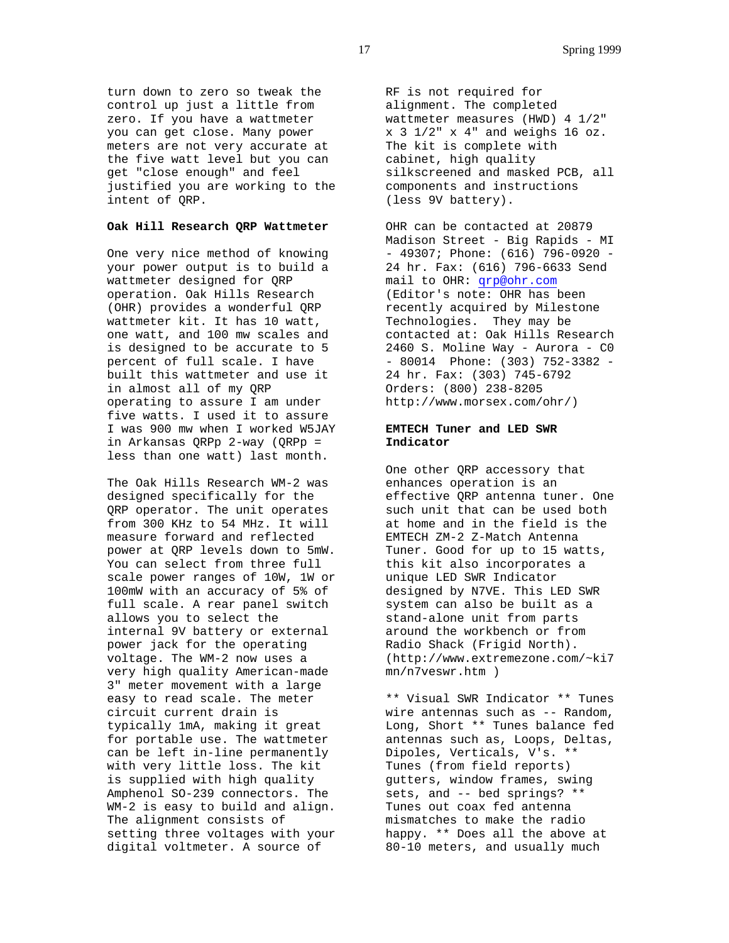turn down to zero so tweak the control up just a little from zero. If you have a wattmeter you can get close. Many power meters are not very accurate at the five watt level but you can get "close enough" and feel justified you are working to the intent of QRP.

# **Oak Hill Research QRP Wattmeter**

One very nice method of knowing your power output is to build a wattmeter designed for QRP operation. Oak Hills Research (OHR) provides a wonderful QRP wattmeter kit. It has 10 watt, one watt, and 100 mw scales and is designed to be accurate to 5 percent of full scale. I have built this wattmeter and use it in almost all of my QRP operating to assure I am under five watts. I used it to assure I was 900 mw when I worked W5JAY in Arkansas QRPp 2-way (QRPp = less than one watt) last month.

The Oak Hills Research WM-2 was designed specifically for the QRP operator. The unit operates from 300 KHz to 54 MHz. It will measure forward and reflected power at QRP levels down to 5mW. You can select from three full scale power ranges of 10W, 1W or 100mW with an accuracy of 5% of full scale. A rear panel switch allows you to select the internal 9V battery or external power jack for the operating voltage. The WM-2 now uses a very high quality American-made 3" meter movement with a large easy to read scale. The meter circuit current drain is typically 1mA, making it great for portable use. The wattmeter can be left in-line permanently with very little loss. The kit is supplied with high quality Amphenol SO-239 connectors. The WM-2 is easy to build and align. The alignment consists of setting three voltages with your digital voltmeter. A source of

RF is not required for alignment. The completed wattmeter measures (HWD) 4 1/2"  $x$  3 1/2"  $x$  4" and weighs 16 oz. The kit is complete with cabinet, high quality silkscreened and masked PCB, all components and instructions (less 9V battery).

OHR can be contacted at 20879 Madison Street - Big Rapids - MI - 49307; Phone: (616) 796-0920 - 24 hr. Fax: (616) 796-6633 Send mail to OHR: qrp@ohr.com (Editor's note: OHR has been recently acquired by Milestone Technologies. They may be contacted at: Oak Hills Research 2460 S. Moline Way - Aurora - C0 - 80014 Phone: (303) 752-3382 - 24 hr. Fax: (303) 745-6792 Orders: (800) 238-8205 http://www.morsex.com/ohr/)

# **EMTECH Tuner and LED SWR Indicator**

One other QRP accessory that enhances operation is an effective QRP antenna tuner. One such unit that can be used both at home and in the field is the EMTECH ZM-2 Z-Match Antenna Tuner. Good for up to 15 watts, this kit also incorporates a unique LED SWR Indicator designed by N7VE. This LED SWR system can also be built as a stand-alone unit from parts around the workbench or from Radio Shack (Frigid North). (http://www.extremezone.com/~ki7 mn/n7veswr.htm )

\*\* Visual SWR Indicator \*\* Tunes wire antennas such as -- Random, Long, Short \*\* Tunes balance fed antennas such as, Loops, Deltas, Dipoles, Verticals, V's. \*\* Tunes (from field reports) gutters, window frames, swing sets, and -- bed springs? \*\* Tunes out coax fed antenna mismatches to make the radio happy. \*\* Does all the above at 80-10 meters, and usually much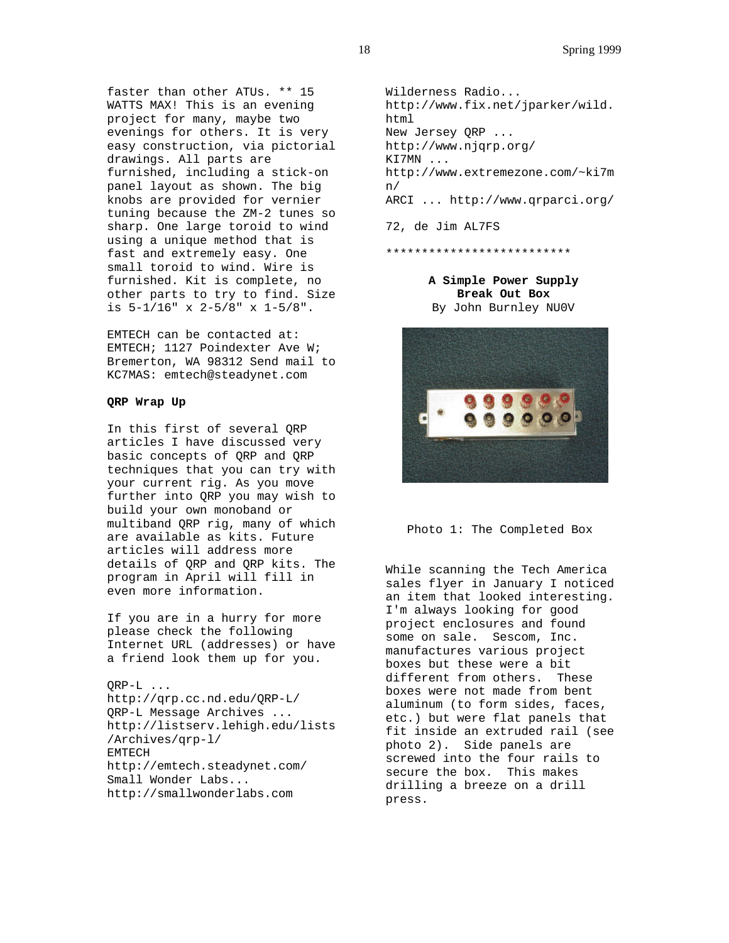faster than other ATUs. \*\* 15 WATTS MAX! This is an evening project for many, maybe two evenings for others. It is very easy construction, via pictorial drawings. All parts are furnished, including a stick-on panel layout as shown. The big knobs are provided for vernier tuning because the ZM-2 tunes so sharp. One large toroid to wind using a unique method that is fast and extremely easy. One small toroid to wind. Wire is furnished. Kit is complete, no other parts to try to find. Size is 5-1/16" x 2-5/8" x 1-5/8".

EMTECH can be contacted at: EMTECH; 1127 Poindexter Ave W; Bremerton, WA 98312 Send mail to KC7MAS: emtech@steadynet.com

## **QRP Wrap Up**

In this first of several QRP articles I have discussed very basic concepts of QRP and QRP techniques that you can try with your current rig. As you move further into QRP you may wish to build your own monoband or multiband QRP rig, many of which are available as kits. Future articles will address more details of QRP and QRP kits. The program in April will fill in even more information.

If you are in a hurry for more please check the following Internet URL (addresses) or have a friend look them up for you.

QRP-L ... http://qrp.cc.nd.edu/QRP-L/ QRP-L Message Archives ... http://listserv.lehigh.edu/lists /Archives/qrp-l/ EMTECH http://emtech.steadynet.com/ Small Wonder Labs... http://smallwonderlabs.com

Wilderness Radio... http://www.fix.net/jparker/wild. html New Jersey QRP ... http://www.njqrp.org/ KI7MN ... http://www.extremezone.com/~ki7m n/ ARCI ... http://www.qrparci.org/

72, de Jim AL7FS

\*\*\*\*\*\*\*\*\*\*\*\*\*\*\*\*\*\*\*\*\*\*\*\*\*\*

**A Simple Power Supply Break Out Box** By John Burnley NU0V





While scanning the Tech America sales flyer in January I noticed an item that looked interesting. I'm always looking for good project enclosures and found some on sale. Sescom, Inc. manufactures various project boxes but these were a bit different from others. These boxes were not made from bent aluminum (to form sides, faces, etc.) but were flat panels that fit inside an extruded rail (see photo 2). Side panels are screwed into the four rails to secure the box. This makes drilling a breeze on a drill press.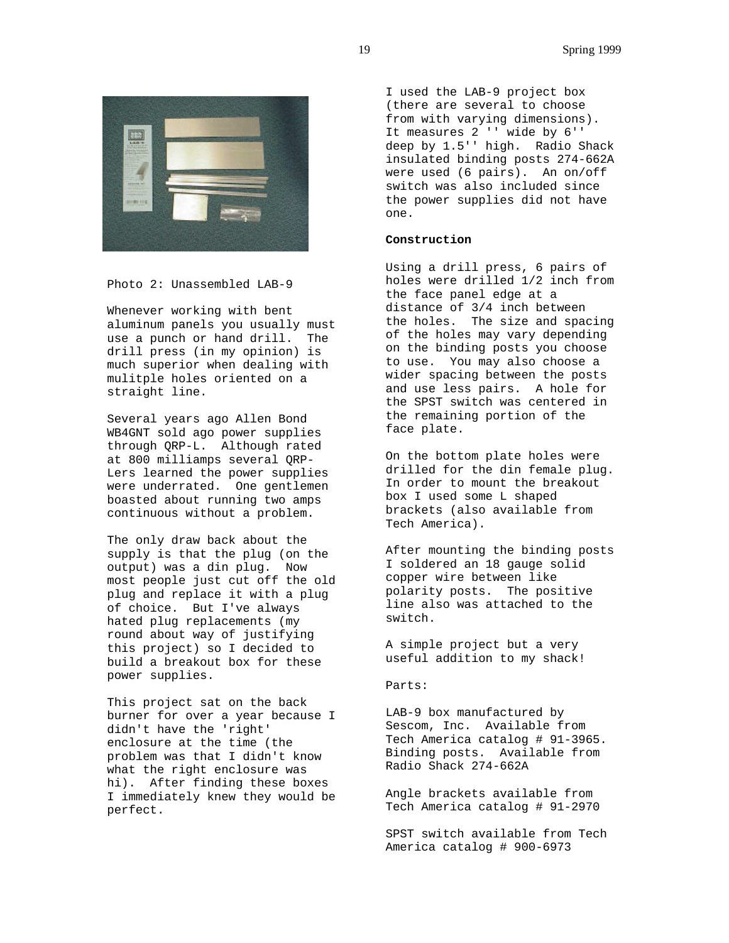

Photo 2: Unassembled LAB-9

Whenever working with bent aluminum panels you usually must use a punch or hand drill. The drill press (in my opinion) is much superior when dealing with mulitple holes oriented on a straight line.

Several years ago Allen Bond WB4GNT sold ago power supplies through QRP-L. Although rated at 800 milliamps several QRP-Lers learned the power supplies were underrated. One gentlemen boasted about running two amps continuous without a problem.

The only draw back about the supply is that the plug (on the output) was a din plug. Now most people just cut off the old plug and replace it with a plug of choice. But I've always hated plug replacements (my round about way of justifying this project) so I decided to build a breakout box for these power supplies.

This project sat on the back burner for over a year because I didn't have the 'right' enclosure at the time (the problem was that I didn't know what the right enclosure was hi). After finding these boxes I immediately knew they would be perfect.

I used the LAB-9 project box (there are several to choose from with varying dimensions). It measures 2 '' wide by 6'' deep by 1.5'' high. Radio Shack insulated binding posts 274-662A were used (6 pairs). An on/off switch was also included since the power supplies did not have one.

# **Construction**

Using a drill press, 6 pairs of holes were drilled 1/2 inch from the face panel edge at a distance of 3/4 inch between the holes. The size and spacing of the holes may vary depending on the binding posts you choose to use. You may also choose a wider spacing between the posts and use less pairs. A hole for the SPST switch was centered in the remaining portion of the face plate.

On the bottom plate holes were drilled for the din female plug. In order to mount the breakout box I used some L shaped brackets (also available from Tech America).

After mounting the binding posts I soldered an 18 gauge solid copper wire between like polarity posts. The positive line also was attached to the switch.

A simple project but a very useful addition to my shack!

## Parts:

LAB-9 box manufactured by Sescom, Inc. Available from Tech America catalog # 91-3965. Binding posts. Available from Radio Shack 274-662A

Angle brackets available from Tech America catalog # 91-2970

SPST switch available from Tech America catalog # 900-6973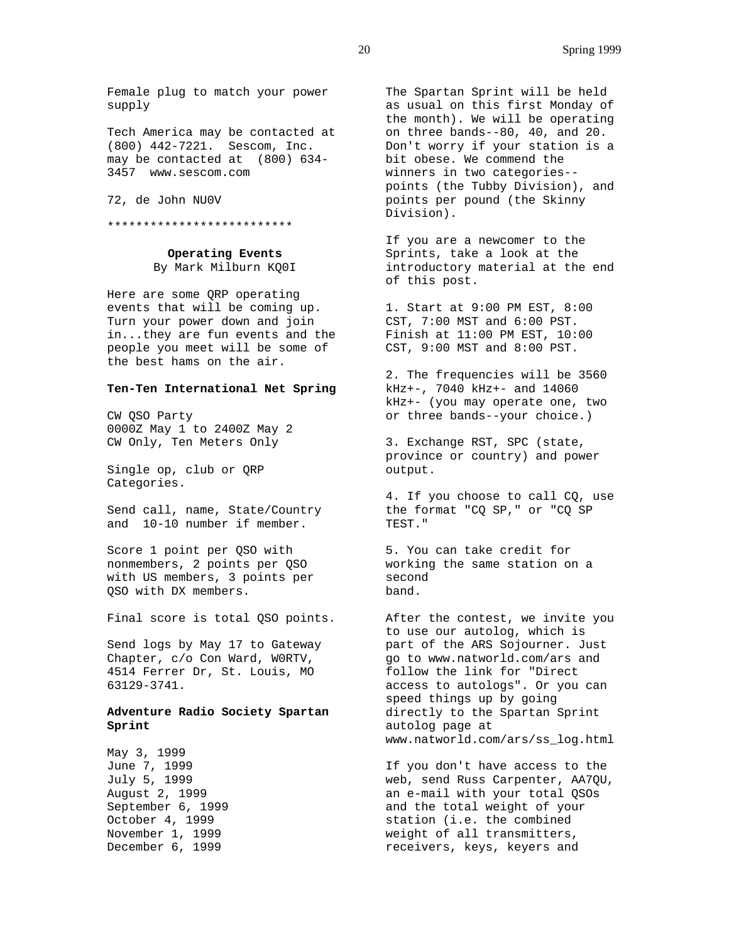Female plug to match your power supply

Tech America may be contacted at (800) 442-7221. Sescom, Inc. may be contacted at (800) 634- 3457 www.sescom.com

72, de John NU0V

\*\*\*\*\*\*\*\*\*\*\*\*\*\*\*\*\*\*\*\*\*\*\*\*\*\*

**Operating Events** By Mark Milburn KQ0I

Here are some QRP operating events that will be coming up. Turn your power down and join in...they are fun events and the people you meet will be some of the best hams on the air.

## **Ten-Ten International Net Spring**

CW QSO Party 0000Z May 1 to 2400Z May 2 CW Only, Ten Meters Only

Single op, club or QRP Categories.

Send call, name, State/Country and 10-10 number if member.

Score 1 point per QSO with nonmembers, 2 points per QSO with US members, 3 points per QSO with DX members.

Final score is total QSO points.

Send logs by May 17 to Gateway Chapter, c/o Con Ward, W0RTV, 4514 Ferrer Dr, St. Louis, MO 63129-3741.

# **Adventure Radio Society Spartan Sprint**

May 3, 1999 June 7, 1999 July 5, 1999 August 2, 1999 September 6, 1999 October 4, 1999 November 1, 1999 December 6, 1999

The Spartan Sprint will be held as usual on this first Monday of the month). We will be operating on three bands--80, 40, and 20. Don't worry if your station is a bit obese. We commend the winners in two categories- points (the Tubby Division), and points per pound (the Skinny Division).

If you are a newcomer to the Sprints, take a look at the introductory material at the end of this post.

1. Start at 9:00 PM EST, 8:00 CST, 7:00 MST and 6:00 PST. Finish at 11:00 PM EST, 10:00 CST, 9:00 MST and 8:00 PST.

2. The frequencies will be 3560 kHz+-, 7040 kHz+- and 14060 kHz+- (you may operate one, two or three bands--your choice.)

3. Exchange RST, SPC (state, province or country) and power output.

4. If you choose to call CQ, use the format "CQ SP," or "CQ SP TEST."

5. You can take credit for working the same station on a second band.

After the contest, we invite you to use our autolog, which is part of the ARS Sojourner. Just go to www.natworld.com/ars and follow the link for "Direct access to autologs". Or you can speed things up by going directly to the Spartan Sprint autolog page at www.natworld.com/ars/ss\_log.html

If you don't have access to the web, send Russ Carpenter, AA7QU, an e-mail with your total QSOs and the total weight of your station (i.e. the combined weight of all transmitters, receivers, keys, keyers and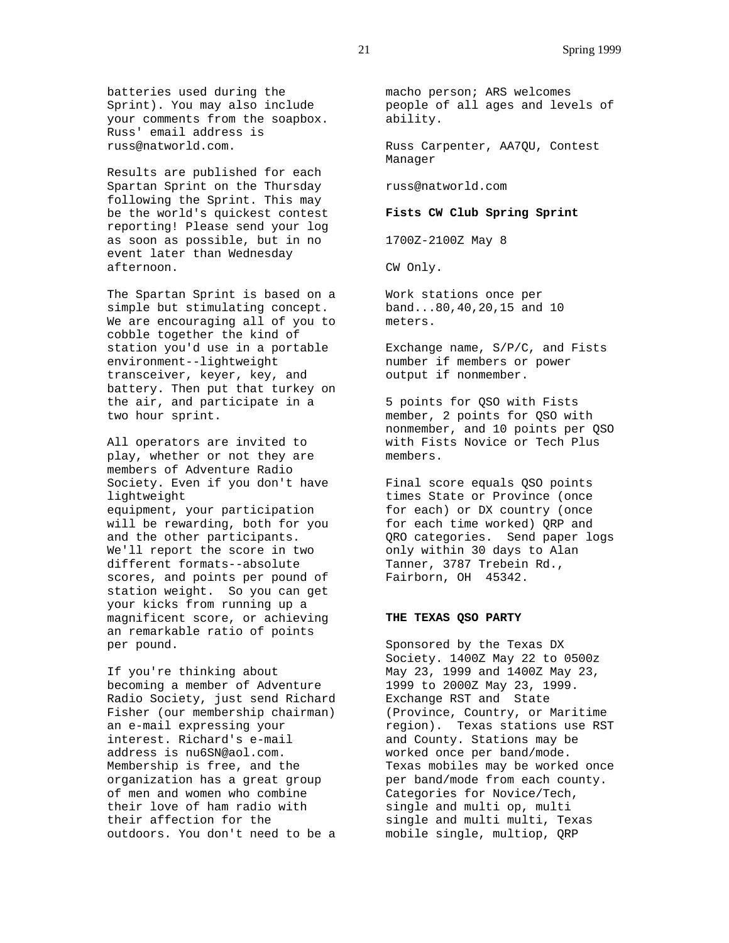batteries used during the Sprint). You may also include your comments from the soapbox. Russ' email address is russ@natworld.com.

Results are published for each Spartan Sprint on the Thursday following the Sprint. This may be the world's quickest contest reporting! Please send your log as soon as possible, but in no event later than Wednesday afternoon.

The Spartan Sprint is based on a simple but stimulating concept. We are encouraging all of you to cobble together the kind of station you'd use in a portable environment--lightweight transceiver, keyer, key, and battery. Then put that turkey on the air, and participate in a two hour sprint.

All operators are invited to play, whether or not they are members of Adventure Radio Society. Even if you don't have lightweight equipment, your participation will be rewarding, both for you and the other participants. We'll report the score in two different formats--absolute scores, and points per pound of station weight. So you can get your kicks from running up a magnificent score, or achieving an remarkable ratio of points per pound.

If you're thinking about becoming a member of Adventure Radio Society, just send Richard Fisher (our membership chairman) an e-mail expressing your interest. Richard's e-mail address is nu6SN@aol.com. Membership is free, and the organization has a great group of men and women who combine their love of ham radio with their affection for the outdoors. You don't need to be a macho person; ARS welcomes people of all ages and levels of ability.

Russ Carpenter, AA7QU, Contest Manager

russ@natworld.com

#### **Fists CW Club Spring Sprint**

1700Z-2100Z May 8

CW Only.

Work stations once per band...80,40,20,15 and 10 meters.

Exchange name, S/P/C, and Fists number if members or power output if nonmember.

5 points for QSO with Fists member, 2 points for QSO with nonmember, and 10 points per QSO with Fists Novice or Tech Plus members.

Final score equals QSO points times State or Province (once for each) or DX country (once for each time worked) QRP and QRO categories. Send paper logs only within 30 days to Alan Tanner, 3787 Trebein Rd., Fairborn, OH 45342.

## **THE TEXAS QSO PARTY**

Sponsored by the Texas DX Society. 1400Z May 22 to 0500z May 23, 1999 and 1400Z May 23, 1999 to 2000Z May 23, 1999. Exchange RST and State (Province, Country, or Maritime region). Texas stations use RST and County. Stations may be worked once per band/mode. Texas mobiles may be worked once per band/mode from each county. Categories for Novice/Tech, single and multi op, multi single and multi multi, Texas mobile single, multiop, QRP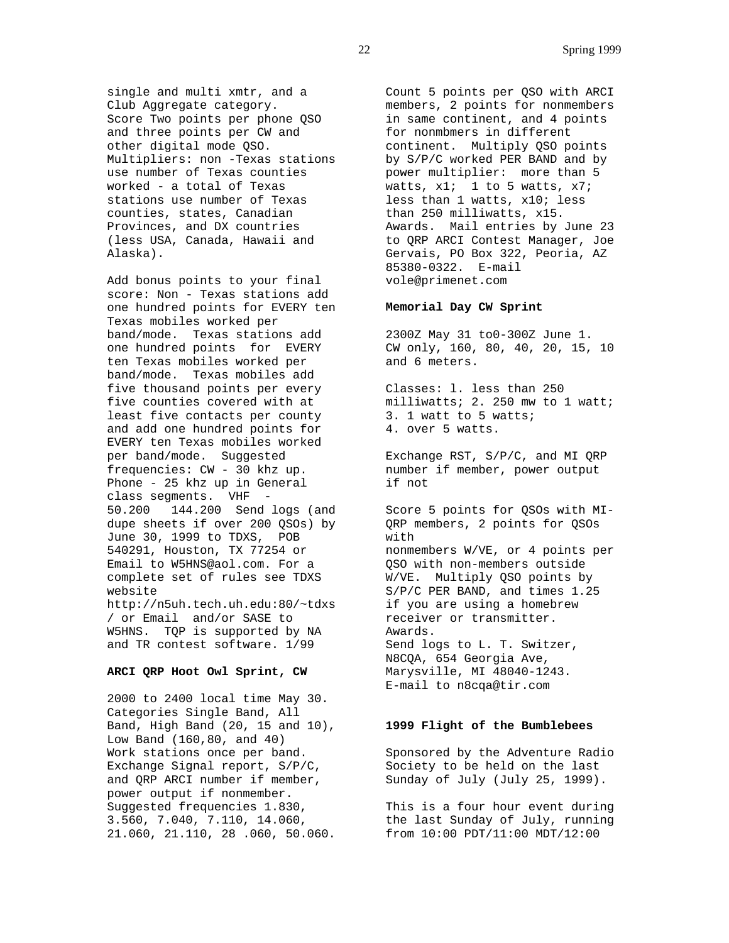single and multi xmtr, and a Club Aggregate category. Score Two points per phone QSO and three points per CW and other digital mode QSO. Multipliers: non -Texas stations use number of Texas counties worked - a total of Texas stations use number of Texas counties, states, Canadian Provinces, and DX countries (less USA, Canada, Hawaii and Alaska).

Add bonus points to your final score: Non - Texas stations add one hundred points for EVERY ten Texas mobiles worked per band/mode. Texas stations add one hundred points for EVERY ten Texas mobiles worked per band/mode. Texas mobiles add five thousand points per every five counties covered with at least five contacts per county and add one hundred points for EVERY ten Texas mobiles worked per band/mode. Suggested frequencies: CW - 30 khz up. Phone - 25 khz up in General class segments. VHF 50.200 144.200 Send logs (and dupe sheets if over 200 QSOs) by June 30, 1999 to TDXS, POB 540291, Houston, TX 77254 or Email to W5HNS@aol.com. For a complete set of rules see TDXS website http://n5uh.tech.uh.edu:80/~tdxs / or Email and/or SASE to W5HNS. TQP is supported by NA and TR contest software. 1/99

#### **ARCI QRP Hoot Owl Sprint, CW**

2000 to 2400 local time May 30. Categories Single Band, All Band, High Band (20, 15 and 10), Low Band (160,80, and 40) Work stations once per band. Exchange Signal report, S/P/C, and QRP ARCI number if member, power output if nonmember. Suggested frequencies 1.830, 3.560, 7.040, 7.110, 14.060, 21.060, 21.110, 28 .060, 50.060. from 10:00 PDT/11:00 MDT/12:00

Count 5 points per QSO with ARCI members, 2 points for nonmembers in same continent, and 4 points for nonmbmers in different continent. Multiply QSO points by S/P/C worked PER BAND and by power multiplier: more than 5 watts,  $x1$ ; 1 to 5 watts,  $x7$ ; less than 1 watts, x10; less than 250 milliwatts, x15. Awards. Mail entries by June 23 to QRP ARCI Contest Manager, Joe Gervais, PO Box 322, Peoria, AZ 85380-0322. E-mail vole@primenet.com

# **Memorial Day CW Sprint**

2300Z May 31 to0-300Z June 1. CW only, 160, 80, 40, 20, 15, 10 and 6 meters.

Classes: l. less than 250 milliwatts; 2. 250 mw to 1 watt; 3. 1 watt to 5 watts; 4. over 5 watts.

Exchange RST, S/P/C, and MI QRP number if member, power output if not

Score 5 points for QSOs with MI-QRP members, 2 points for QSOs with nonmembers W/VE, or 4 points per QSO with non-members outside W/VE. Multiply QSO points by S/P/C PER BAND, and times 1.25 if you are using a homebrew receiver or transmitter. Awards. Send logs to L. T. Switzer, N8CQA, 654 Georgia Ave, Marysville, MI 48040-1243. E-mail to n8cqa@tir.com

## **1999 Flight of the Bumblebees**

Sponsored by the Adventure Radio Society to be held on the last Sunday of July (July 25, 1999).

This is a four hour event during the last Sunday of July, running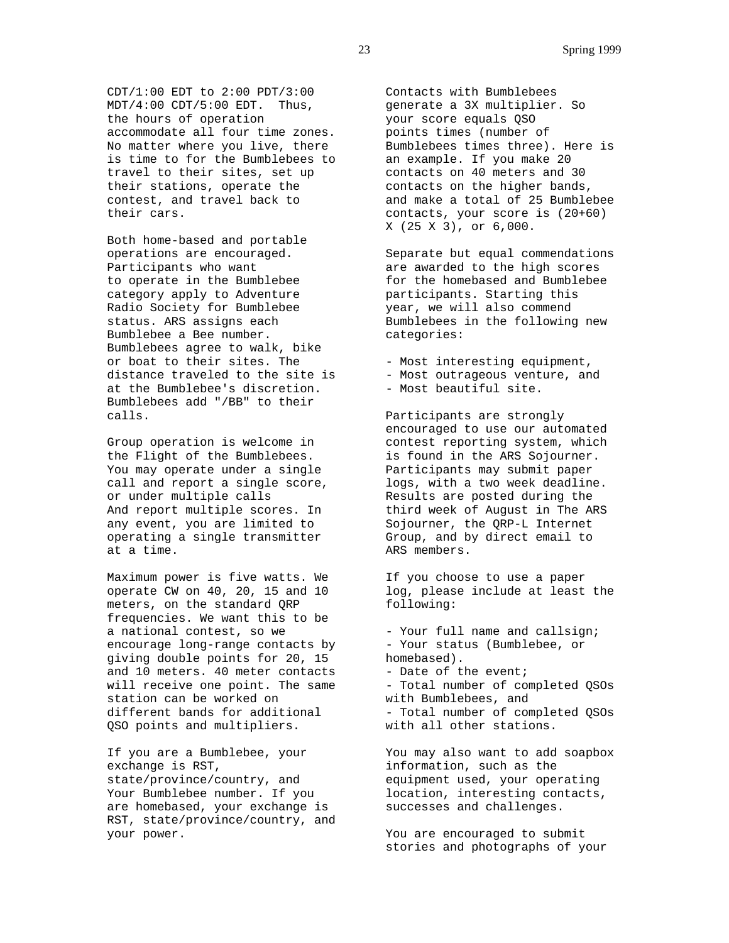CDT/1:00 EDT to 2:00 PDT/3:00 MDT/4:00 CDT/5:00 EDT. Thus, the hours of operation accommodate all four time zones. No matter where you live, there is time to for the Bumblebees to travel to their sites, set up their stations, operate the contest, and travel back to their cars.

Both home-based and portable operations are encouraged. Participants who want to operate in the Bumblebee category apply to Adventure Radio Society for Bumblebee status. ARS assigns each Bumblebee a Bee number. Bumblebees agree to walk, bike or boat to their sites. The distance traveled to the site is at the Bumblebee's discretion. Bumblebees add "/BB" to their calls.

Group operation is welcome in the Flight of the Bumblebees. You may operate under a single call and report a single score, or under multiple calls And report multiple scores. In any event, you are limited to operating a single transmitter at a time.

Maximum power is five watts. We operate CW on 40, 20, 15 and 10 meters, on the standard QRP frequencies. We want this to be a national contest, so we encourage long-range contacts by giving double points for 20, 15 and 10 meters. 40 meter contacts will receive one point. The same station can be worked on different bands for additional QSO points and multipliers.

If you are a Bumblebee, your exchange is RST, state/province/country, and Your Bumblebee number. If you are homebased, your exchange is RST, state/province/country, and your power.

Contacts with Bumblebees generate a 3X multiplier. So your score equals QSO points times (number of Bumblebees times three). Here is an example. If you make 20 contacts on 40 meters and 30 contacts on the higher bands, and make a total of 25 Bumblebee contacts, your score is (20+60) X (25 X 3), or 6,000.

Separate but equal commendations are awarded to the high scores for the homebased and Bumblebee participants. Starting this year, we will also commend Bumblebees in the following new categories:

- Most interesting equipment,
- Most outrageous venture, and
- Most beautiful site.

Participants are strongly encouraged to use our automated contest reporting system, which is found in the ARS Sojourner. Participants may submit paper logs, with a two week deadline. Results are posted during the third week of August in The ARS Sojourner, the QRP-L Internet Group, and by direct email to ARS members.

If you choose to use a paper log, please include at least the following:

- Your full name and callsign; - Your status (Bumblebee, or homebased). - Date of the event; - Total number of completed QSOs with Bumblebees, and - Total number of completed QSOs with all other stations.

You may also want to add soapbox information, such as the equipment used, your operating location, interesting contacts, successes and challenges.

You are encouraged to submit stories and photographs of your